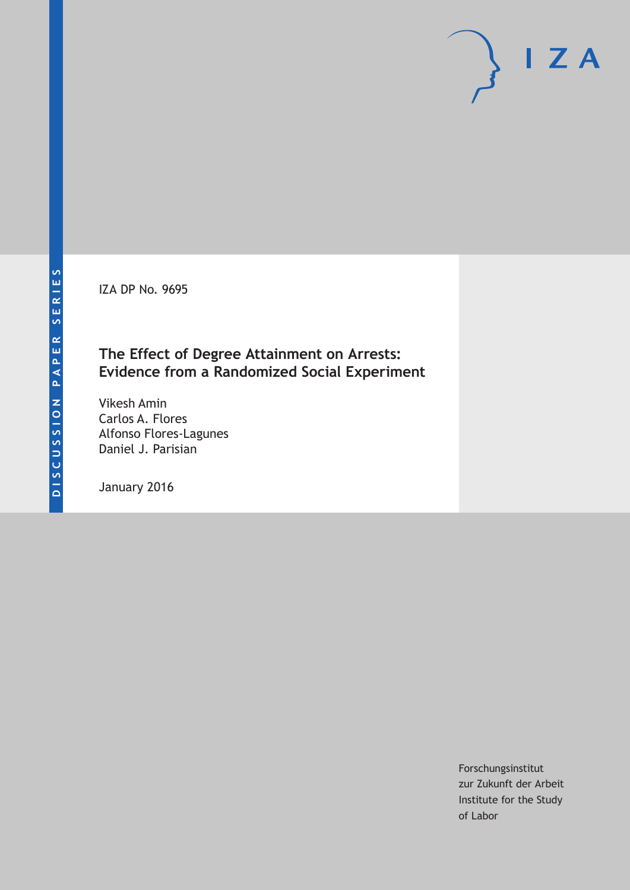IZA DP No. 9695

## **The Effect of Degree Attainment on Arrests: Evidence from a Randomized Social Experiment**

Vikesh Amin Carlos A. Flores Alfonso Flores-Lagunes Daniel J. Parisian

January 2016

Forschungsinstitut zur Zukunft der Arbeit Institute for the Study of Labor

 $I Z A$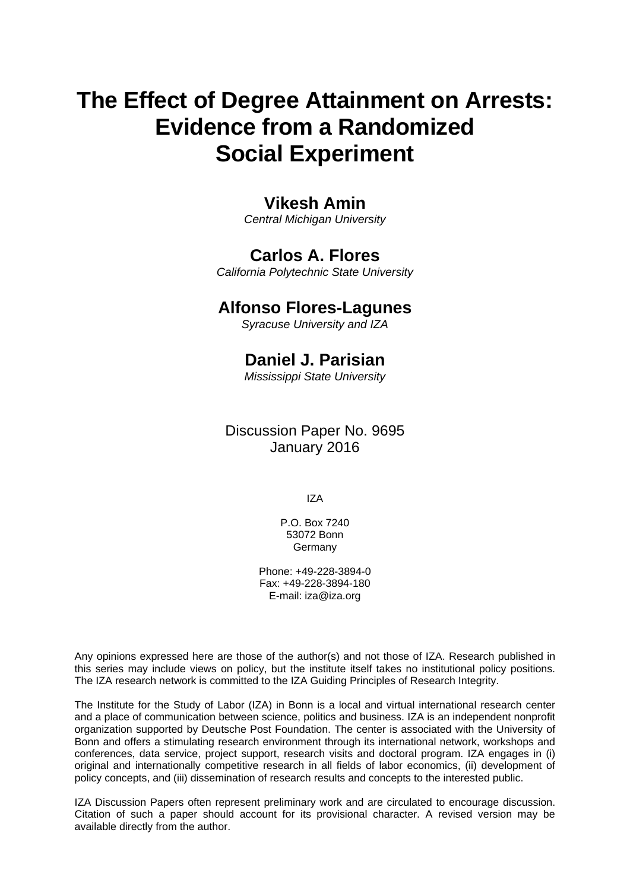# **The Effect of Degree Attainment on Arrests: Evidence from a Randomized Social Experiment**

## **Vikesh Amin**

*Central Michigan University* 

## **Carlos A. Flores**

*California Polytechnic State University* 

### **Alfonso Flores-Lagunes**

*Syracuse University and IZA*

## **Daniel J. Parisian**

*Mississippi State University* 

Discussion Paper No. 9695 January 2016

IZA

P.O. Box 7240 53072 Bonn **Germany** 

Phone: +49-228-3894-0 Fax: +49-228-3894-180 E-mail: iza@iza.org

Any opinions expressed here are those of the author(s) and not those of IZA. Research published in this series may include views on policy, but the institute itself takes no institutional policy positions. The IZA research network is committed to the IZA Guiding Principles of Research Integrity.

The Institute for the Study of Labor (IZA) in Bonn is a local and virtual international research center and a place of communication between science, politics and business. IZA is an independent nonprofit organization supported by Deutsche Post Foundation. The center is associated with the University of Bonn and offers a stimulating research environment through its international network, workshops and conferences, data service, project support, research visits and doctoral program. IZA engages in (i) original and internationally competitive research in all fields of labor economics, (ii) development of policy concepts, and (iii) dissemination of research results and concepts to the interested public.

IZA Discussion Papers often represent preliminary work and are circulated to encourage discussion. Citation of such a paper should account for its provisional character. A revised version may be available directly from the author.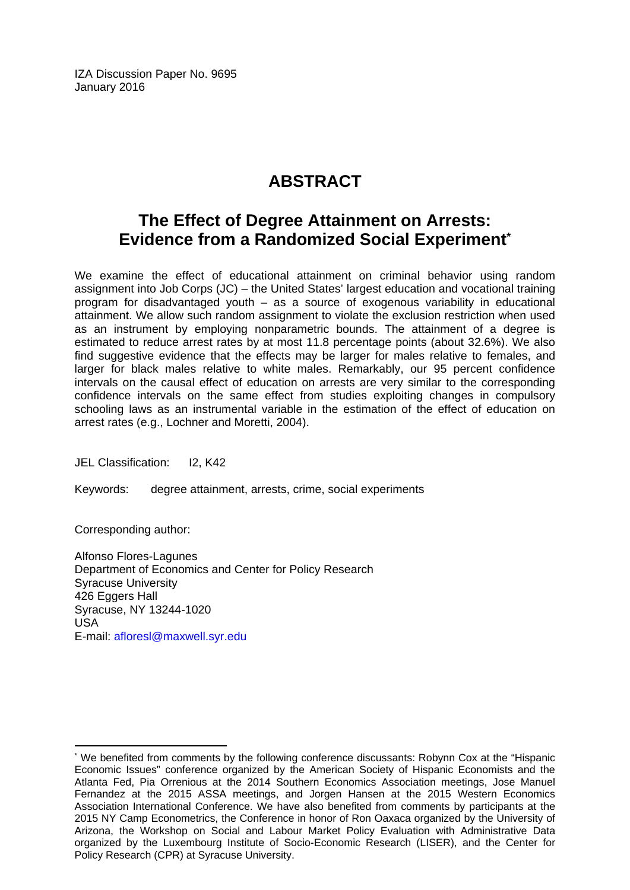IZA Discussion Paper No. 9695 January 2016

## **ABSTRACT**

## **The Effect of Degree Attainment on Arrests: Evidence from a Randomized Social Experiment\***

We examine the effect of educational attainment on criminal behavior using random assignment into Job Corps (JC) – the United States' largest education and vocational training program for disadvantaged youth – as a source of exogenous variability in educational attainment. We allow such random assignment to violate the exclusion restriction when used as an instrument by employing nonparametric bounds. The attainment of a degree is estimated to reduce arrest rates by at most 11.8 percentage points (about 32.6%). We also find suggestive evidence that the effects may be larger for males relative to females, and larger for black males relative to white males. Remarkably, our 95 percent confidence intervals on the causal effect of education on arrests are very similar to the corresponding confidence intervals on the same effect from studies exploiting changes in compulsory schooling laws as an instrumental variable in the estimation of the effect of education on arrest rates (e.g., Lochner and Moretti, 2004).

JEL Classification: I2, K42

Keywords: degree attainment, arrests, crime, social experiments

Corresponding author:

 $\overline{\phantom{a}}$ 

Alfonso Flores-Lagunes Department of Economics and Center for Policy Research Syracuse University 426 Eggers Hall Syracuse, NY 13244-1020 USA E-mail: afloresl@maxwell.syr.edu

<sup>\*</sup> We benefited from comments by the following conference discussants: Robynn Cox at the "Hispanic Economic Issues" conference organized by the American Society of Hispanic Economists and the Atlanta Fed, Pia Orrenious at the 2014 Southern Economics Association meetings, Jose Manuel Fernandez at the 2015 ASSA meetings, and Jorgen Hansen at the 2015 Western Economics Association International Conference. We have also benefited from comments by participants at the 2015 NY Camp Econometrics, the Conference in honor of Ron Oaxaca organized by the University of Arizona, the Workshop on Social and Labour Market Policy Evaluation with Administrative Data organized by the Luxembourg Institute of Socio-Economic Research (LISER), and the Center for Policy Research (CPR) at Syracuse University.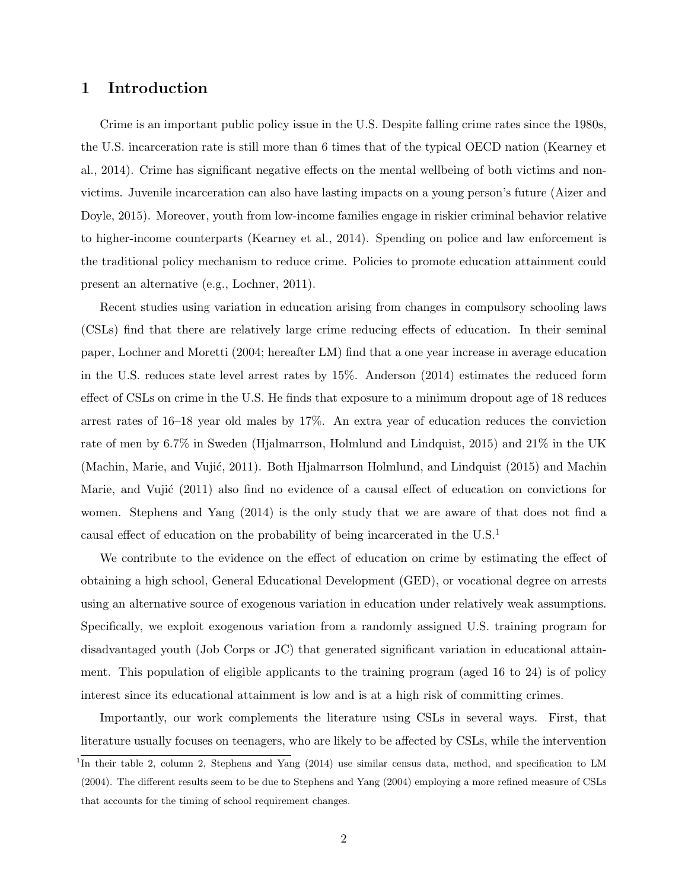#### 1 Introduction

Crime is an important public policy issue in the U.S. Despite falling crime rates since the 1980s, the U.S. incarceration rate is still more than 6 times that of the typical OECD nation (Kearney et al., 2014). Crime has significant negative effects on the mental wellbeing of both victims and nonvictims. Juvenile incarceration can also have lasting impacts on a young person's future (Aizer and Doyle, 2015). Moreover, youth from low-income families engage in riskier criminal behavior relative to higher-income counterparts (Kearney et al., 2014). Spending on police and law enforcement is the traditional policy mechanism to reduce crime. Policies to promote education attainment could present an alternative (e.g., Lochner, 2011).

Recent studies using variation in education arising from changes in compulsory schooling laws (CSLs) find that there are relatively large crime reducing effects of education. In their seminal paper, Lochner and Moretti (2004; hereafter LM) find that a one year increase in average education in the U.S. reduces state level arrest rates by 15%. Anderson (2014) estimates the reduced form effect of CSLs on crime in the U.S. He finds that exposure to a minimum dropout age of 18 reduces arrest rates of 16–18 year old males by 17%. An extra year of education reduces the conviction rate of men by 6.7% in Sweden (Hjalmarrson, Holmlund and Lindquist, 2015) and 21% in the UK (Machin, Marie, and Vujić, 2011). Both Hjalmarrson Holmlund, and Lindquist (2015) and Machin Marie, and Vujić  $(2011)$  also find no evidence of a causal effect of education on convictions for women. Stephens and Yang (2014) is the only study that we are aware of that does not find a causal effect of education on the probability of being incarcerated in the U.S.<sup>1</sup>

We contribute to the evidence on the effect of education on crime by estimating the effect of obtaining a high school, General Educational Development (GED), or vocational degree on arrests using an alternative source of exogenous variation in education under relatively weak assumptions. Specifically, we exploit exogenous variation from a randomly assigned U.S. training program for disadvantaged youth (Job Corps or JC) that generated significant variation in educational attainment. This population of eligible applicants to the training program (aged 16 to 24) is of policy interest since its educational attainment is low and is at a high risk of committing crimes.

Importantly, our work complements the literature using CSLs in several ways. First, that literature usually focuses on teenagers, who are likely to be affected by CSLs, while the intervention

<sup>&</sup>lt;sup>1</sup>In their table 2, column 2, Stephens and Yang (2014) use similar census data, method, and specification to LM (2004). The different results seem to be due to Stephens and Yang (2004) employing a more refined measure of CSLs that accounts for the timing of school requirement changes.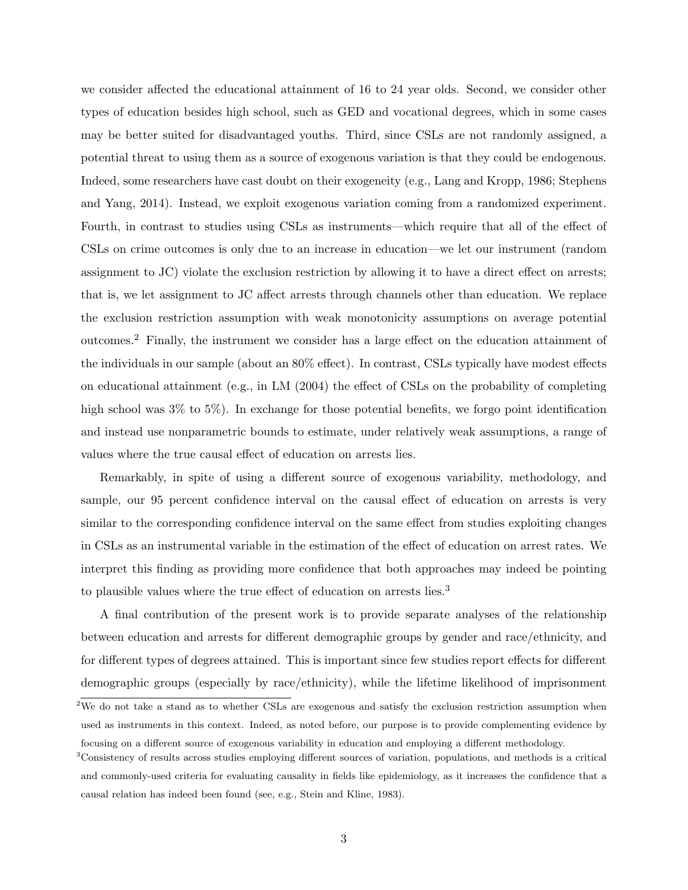we consider affected the educational attainment of 16 to 24 year olds. Second, we consider other types of education besides high school, such as GED and vocational degrees, which in some cases may be better suited for disadvantaged youths. Third, since CSLs are not randomly assigned, a potential threat to using them as a source of exogenous variation is that they could be endogenous. Indeed, some researchers have cast doubt on their exogeneity (e.g., Lang and Kropp, 1986; Stephens and Yang, 2014). Instead, we exploit exogenous variation coming from a randomized experiment. Fourth, in contrast to studies using CSLs as instruments—which require that all of the effect of CSLs on crime outcomes is only due to an increase in education—we let our instrument (random assignment to JC) violate the exclusion restriction by allowing it to have a direct effect on arrests; that is, we let assignment to JC affect arrests through channels other than education. We replace the exclusion restriction assumption with weak monotonicity assumptions on average potential outcomes.<sup>2</sup> Finally, the instrument we consider has a large effect on the education attainment of the individuals in our sample (about an 80% effect). In contrast, CSLs typically have modest effects on educational attainment (e.g., in LM (2004) the effect of CSLs on the probability of completing high school was  $3\%$  to  $5\%$ ). In exchange for those potential benefits, we forgo point identification and instead use nonparametric bounds to estimate, under relatively weak assumptions, a range of values where the true causal effect of education on arrests lies.

Remarkably, in spite of using a different source of exogenous variability, methodology, and sample, our 95 percent confidence interval on the causal effect of education on arrests is very similar to the corresponding confidence interval on the same effect from studies exploiting changes in CSLs as an instrumental variable in the estimation of the effect of education on arrest rates. We interpret this finding as providing more confidence that both approaches may indeed be pointing to plausible values where the true effect of education on arrests lies.<sup>3</sup>

A final contribution of the present work is to provide separate analyses of the relationship between education and arrests for different demographic groups by gender and race/ethnicity, and for different types of degrees attained. This is important since few studies report effects for different demographic groups (especially by race/ethnicity), while the lifetime likelihood of imprisonment

<sup>&</sup>lt;sup>2</sup>We do not take a stand as to whether CSLs are exogenous and satisfy the exclusion restriction assumption when used as instruments in this context. Indeed, as noted before, our purpose is to provide complementing evidence by focusing on a different source of exogenous variability in education and employing a different methodology.

<sup>3</sup>Consistency of results across studies employing different sources of variation, populations, and methods is a critical and commonly-used criteria for evaluating causality in fields like epidemiology, as it increases the confidence that a causal relation has indeed been found (see, e.g., Stein and Kline, 1983).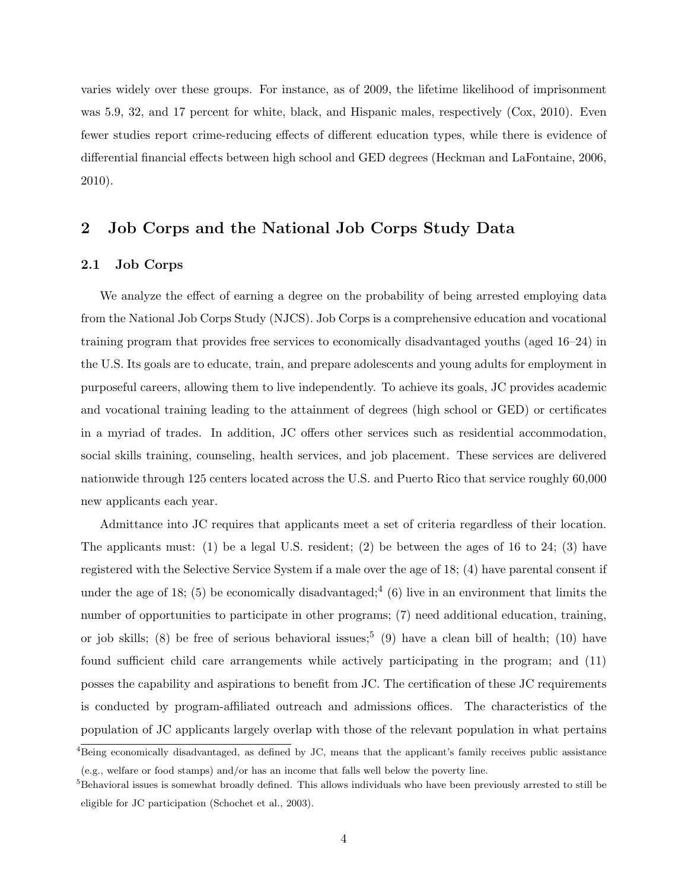varies widely over these groups. For instance, as of 2009, the lifetime likelihood of imprisonment was 5.9, 32, and 17 percent for white, black, and Hispanic males, respectively (Cox, 2010). Even fewer studies report crime-reducing effects of different education types, while there is evidence of differential financial effects between high school and GED degrees (Heckman and LaFontaine, 2006, 2010).

#### 2 Job Corps and the National Job Corps Study Data

#### 2.1 Job Corps

We analyze the effect of earning a degree on the probability of being arrested employing data from the National Job Corps Study (NJCS). Job Corps is a comprehensive education and vocational training program that provides free services to economically disadvantaged youths (aged 16–24) in the U.S. Its goals are to educate, train, and prepare adolescents and young adults for employment in purposeful careers, allowing them to live independently. To achieve its goals, JC provides academic and vocational training leading to the attainment of degrees (high school or GED) or certificates in a myriad of trades. In addition, JC offers other services such as residential accommodation, social skills training, counseling, health services, and job placement. These services are delivered nationwide through 125 centers located across the U.S. and Puerto Rico that service roughly 60,000 new applicants each year.

Admittance into JC requires that applicants meet a set of criteria regardless of their location. The applicants must: (1) be a legal U.S. resident; (2) be between the ages of 16 to 24; (3) have registered with the Selective Service System if a male over the age of 18; (4) have parental consent if under the age of 18; (5) be economically disadvantaged;<sup>4</sup> (6) live in an environment that limits the number of opportunities to participate in other programs; (7) need additional education, training, or job skills; (8) be free of serious behavioral issues;<sup>5</sup> (9) have a clean bill of health; (10) have found sufficient child care arrangements while actively participating in the program; and (11) posses the capability and aspirations to benefit from JC. The certification of these JC requirements is conducted by program-affiliated outreach and admissions offices. The characteristics of the population of JC applicants largely overlap with those of the relevant population in what pertains

 $4B$ eing economically disadvantaged, as defined by JC, means that the applicant's family receives public assistance (e.g., welfare or food stamps) and/or has an income that falls well below the poverty line.

<sup>&</sup>lt;sup>5</sup>Behavioral issues is somewhat broadly defined. This allows individuals who have been previously arrested to still be eligible for JC participation (Schochet et al., 2003).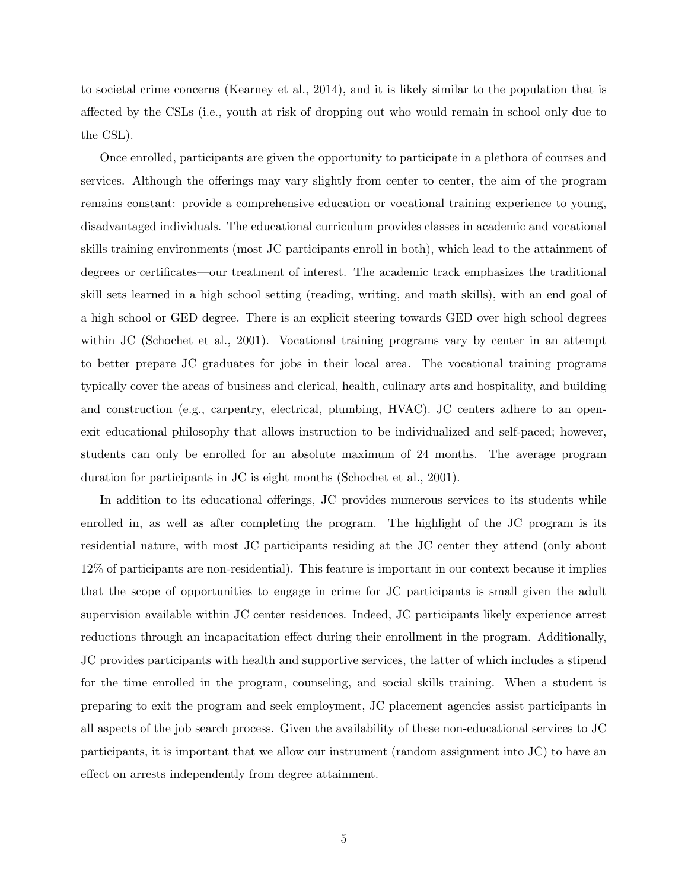to societal crime concerns (Kearney et al., 2014), and it is likely similar to the population that is affected by the CSLs (i.e., youth at risk of dropping out who would remain in school only due to the CSL).

Once enrolled, participants are given the opportunity to participate in a plethora of courses and services. Although the offerings may vary slightly from center to center, the aim of the program remains constant: provide a comprehensive education or vocational training experience to young, disadvantaged individuals. The educational curriculum provides classes in academic and vocational skills training environments (most JC participants enroll in both), which lead to the attainment of degrees or certificates—our treatment of interest. The academic track emphasizes the traditional skill sets learned in a high school setting (reading, writing, and math skills), with an end goal of a high school or GED degree. There is an explicit steering towards GED over high school degrees within JC (Schochet et al., 2001). Vocational training programs vary by center in an attempt to better prepare JC graduates for jobs in their local area. The vocational training programs typically cover the areas of business and clerical, health, culinary arts and hospitality, and building and construction (e.g., carpentry, electrical, plumbing, HVAC). JC centers adhere to an openexit educational philosophy that allows instruction to be individualized and self-paced; however, students can only be enrolled for an absolute maximum of 24 months. The average program duration for participants in JC is eight months (Schochet et al., 2001).

In addition to its educational offerings, JC provides numerous services to its students while enrolled in, as well as after completing the program. The highlight of the JC program is its residential nature, with most JC participants residing at the JC center they attend (only about 12% of participants are non-residential). This feature is important in our context because it implies that the scope of opportunities to engage in crime for JC participants is small given the adult supervision available within JC center residences. Indeed, JC participants likely experience arrest reductions through an incapacitation effect during their enrollment in the program. Additionally, JC provides participants with health and supportive services, the latter of which includes a stipend for the time enrolled in the program, counseling, and social skills training. When a student is preparing to exit the program and seek employment, JC placement agencies assist participants in all aspects of the job search process. Given the availability of these non-educational services to JC participants, it is important that we allow our instrument (random assignment into JC) to have an effect on arrests independently from degree attainment.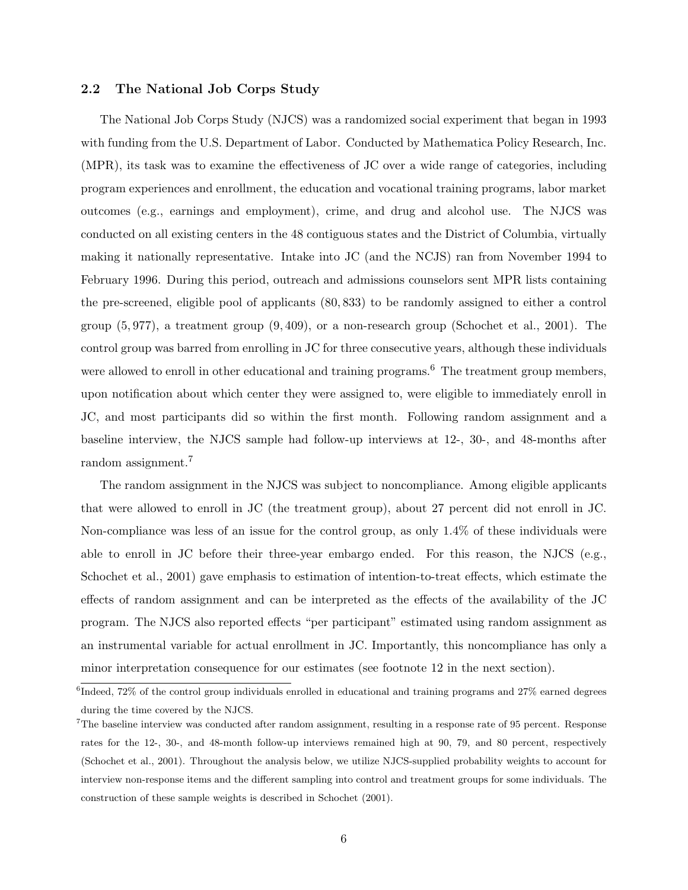#### 2.2 The National Job Corps Study

The National Job Corps Study (NJCS) was a randomized social experiment that began in 1993 with funding from the U.S. Department of Labor. Conducted by Mathematica Policy Research, Inc. (MPR), its task was to examine the effectiveness of JC over a wide range of categories, including program experiences and enrollment, the education and vocational training programs, labor market outcomes (e.g., earnings and employment), crime, and drug and alcohol use. The NJCS was conducted on all existing centers in the 48 contiguous states and the District of Columbia, virtually making it nationally representative. Intake into JC (and the NCJS) ran from November 1994 to February 1996. During this period, outreach and admissions counselors sent MPR lists containing the pre-screened, eligible pool of applicants (80, 833) to be randomly assigned to either a control group  $(5, 977)$ , a treatment group  $(9, 409)$ , or a non-research group (Schochet et al., 2001). The control group was barred from enrolling in JC for three consecutive years, although these individuals were allowed to enroll in other educational and training programs.<sup>6</sup> The treatment group members, upon notification about which center they were assigned to, were eligible to immediately enroll in JC, and most participants did so within the first month. Following random assignment and a baseline interview, the NJCS sample had follow-up interviews at 12-, 30-, and 48-months after random assignment.<sup>7</sup>

The random assignment in the NJCS was subject to noncompliance. Among eligible applicants that were allowed to enroll in JC (the treatment group), about 27 percent did not enroll in JC. Non-compliance was less of an issue for the control group, as only 1.4% of these individuals were able to enroll in JC before their three-year embargo ended. For this reason, the NJCS (e.g., Schochet et al., 2001) gave emphasis to estimation of intention-to-treat effects, which estimate the effects of random assignment and can be interpreted as the effects of the availability of the JC program. The NJCS also reported effects "per participant" estimated using random assignment as an instrumental variable for actual enrollment in JC. Importantly, this noncompliance has only a minor interpretation consequence for our estimates (see footnote 12 in the next section).

<sup>&</sup>lt;sup>6</sup>Indeed, 72% of the control group individuals enrolled in educational and training programs and 27% earned degrees during the time covered by the NJCS.

<sup>7</sup>The baseline interview was conducted after random assignment, resulting in a response rate of 95 percent. Response rates for the 12-, 30-, and 48-month follow-up interviews remained high at 90, 79, and 80 percent, respectively (Schochet et al., 2001). Throughout the analysis below, we utilize NJCS-supplied probability weights to account for interview non-response items and the different sampling into control and treatment groups for some individuals. The construction of these sample weights is described in Schochet (2001).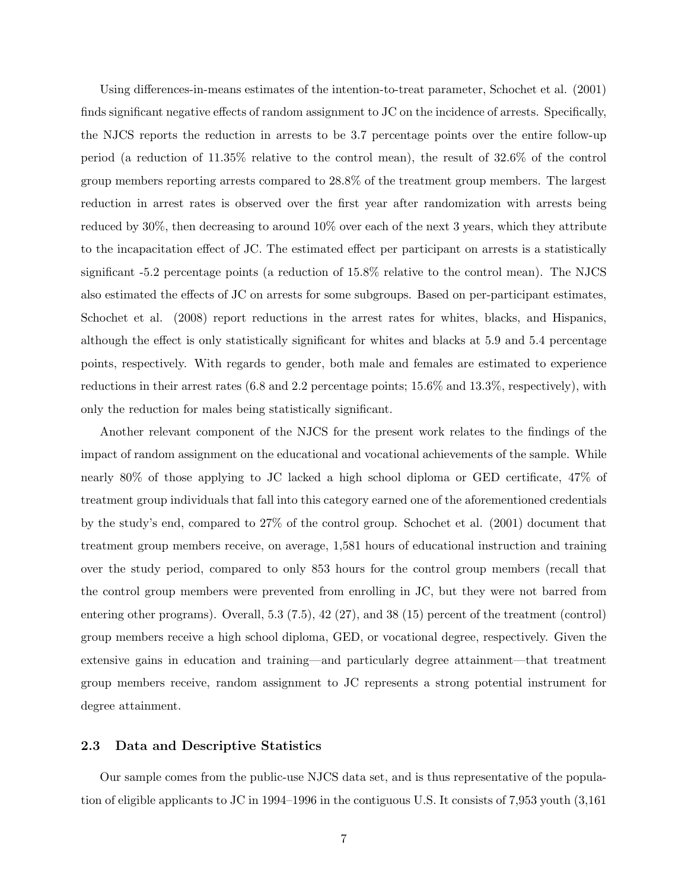Using differences-in-means estimates of the intention-to-treat parameter, Schochet et al. (2001) finds significant negative effects of random assignment to JC on the incidence of arrests. Specifically, the NJCS reports the reduction in arrests to be 3.7 percentage points over the entire follow-up period (a reduction of 11.35% relative to the control mean), the result of 32.6% of the control group members reporting arrests compared to 28.8% of the treatment group members. The largest reduction in arrest rates is observed over the first year after randomization with arrests being reduced by 30%, then decreasing to around 10% over each of the next 3 years, which they attribute to the incapacitation effect of JC. The estimated effect per participant on arrests is a statistically significant -5.2 percentage points (a reduction of 15.8% relative to the control mean). The NJCS also estimated the effects of JC on arrests for some subgroups. Based on per-participant estimates, Schochet et al. (2008) report reductions in the arrest rates for whites, blacks, and Hispanics, although the effect is only statistically significant for whites and blacks at 5.9 and 5.4 percentage points, respectively. With regards to gender, both male and females are estimated to experience reductions in their arrest rates (6.8 and 2.2 percentage points; 15.6% and 13.3%, respectively), with only the reduction for males being statistically significant.

Another relevant component of the NJCS for the present work relates to the findings of the impact of random assignment on the educational and vocational achievements of the sample. While nearly 80% of those applying to JC lacked a high school diploma or GED certificate, 47% of treatment group individuals that fall into this category earned one of the aforementioned credentials by the study's end, compared to 27% of the control group. Schochet et al. (2001) document that treatment group members receive, on average, 1,581 hours of educational instruction and training over the study period, compared to only 853 hours for the control group members (recall that the control group members were prevented from enrolling in JC, but they were not barred from entering other programs). Overall, 5.3 (7.5), 42 (27), and 38 (15) percent of the treatment (control) group members receive a high school diploma, GED, or vocational degree, respectively. Given the extensive gains in education and training—and particularly degree attainment—that treatment group members receive, random assignment to JC represents a strong potential instrument for degree attainment.

#### 2.3 Data and Descriptive Statistics

Our sample comes from the public-use NJCS data set, and is thus representative of the population of eligible applicants to JC in 1994–1996 in the contiguous U.S. It consists of 7,953 youth (3,161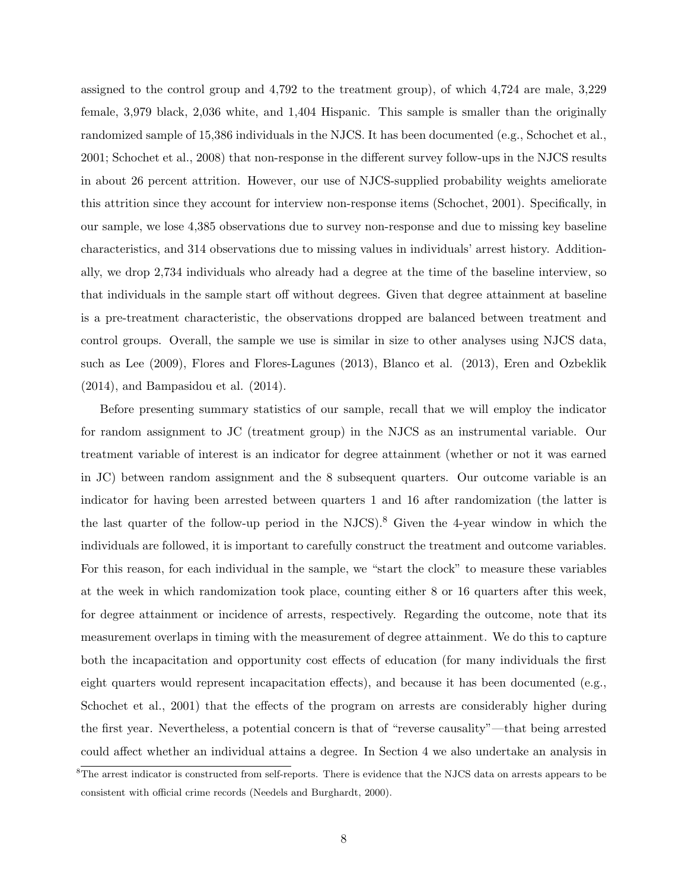assigned to the control group and 4,792 to the treatment group), of which 4,724 are male, 3,229 female, 3,979 black, 2,036 white, and 1,404 Hispanic. This sample is smaller than the originally randomized sample of 15,386 individuals in the NJCS. It has been documented (e.g., Schochet et al., 2001; Schochet et al., 2008) that non-response in the different survey follow-ups in the NJCS results in about 26 percent attrition. However, our use of NJCS-supplied probability weights ameliorate this attrition since they account for interview non-response items (Schochet, 2001). Specifically, in our sample, we lose 4,385 observations due to survey non-response and due to missing key baseline characteristics, and 314 observations due to missing values in individuals' arrest history. Additionally, we drop 2,734 individuals who already had a degree at the time of the baseline interview, so that individuals in the sample start off without degrees. Given that degree attainment at baseline is a pre-treatment characteristic, the observations dropped are balanced between treatment and control groups. Overall, the sample we use is similar in size to other analyses using NJCS data, such as Lee (2009), Flores and Flores-Lagunes (2013), Blanco et al. (2013), Eren and Ozbeklik (2014), and Bampasidou et al. (2014).

Before presenting summary statistics of our sample, recall that we will employ the indicator for random assignment to JC (treatment group) in the NJCS as an instrumental variable. Our treatment variable of interest is an indicator for degree attainment (whether or not it was earned in JC) between random assignment and the 8 subsequent quarters. Our outcome variable is an indicator for having been arrested between quarters 1 and 16 after randomization (the latter is the last quarter of the follow-up period in the NJCS).<sup>8</sup> Given the 4-year window in which the individuals are followed, it is important to carefully construct the treatment and outcome variables. For this reason, for each individual in the sample, we "start the clock" to measure these variables at the week in which randomization took place, counting either 8 or 16 quarters after this week, for degree attainment or incidence of arrests, respectively. Regarding the outcome, note that its measurement overlaps in timing with the measurement of degree attainment. We do this to capture both the incapacitation and opportunity cost effects of education (for many individuals the first eight quarters would represent incapacitation effects), and because it has been documented (e.g., Schochet et al., 2001) that the effects of the program on arrests are considerably higher during the first year. Nevertheless, a potential concern is that of "reverse causality"—that being arrested could affect whether an individual attains a degree. In Section 4 we also undertake an analysis in

<sup>&</sup>lt;sup>8</sup>The arrest indicator is constructed from self-reports. There is evidence that the NJCS data on arrests appears to be consistent with official crime records (Needels and Burghardt, 2000).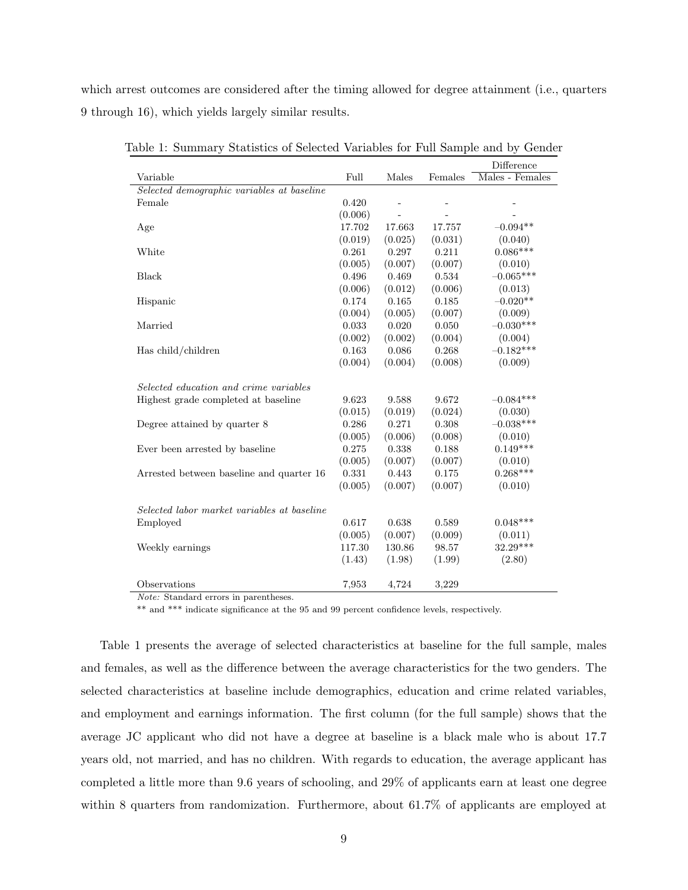which arrest outcomes are considered after the timing allowed for degree attainment (i.e., quarters 9 through 16), which yields largely similar results.

|                                             |         |           |         | Difference      |
|---------------------------------------------|---------|-----------|---------|-----------------|
| Variable                                    | Full    | Males     | Females | Males - Females |
| Selected demographic variables at baseline  |         |           |         |                 |
| Female                                      | 0.420   |           | ÷,      |                 |
|                                             | (0.006) | $\bar{a}$ |         |                 |
| Age                                         | 17.702  | 17.663    | 17.757  | $-0.094**$      |
|                                             | (0.019) | (0.025)   | (0.031) | (0.040)         |
| White                                       | 0.261   | 0.297     | 0.211   | $0.086***$      |
|                                             | (0.005) | (0.007)   | (0.007) | (0.010)         |
| Black                                       | 0.496   | 0.469     | 0.534   | $-0.065***$     |
|                                             | (0.006) | (0.012)   | (0.006) | (0.013)         |
| Hispanic                                    | 0.174   | 0.165     | 0.185   | $-0.020**$      |
|                                             | (0.004) | (0.005)   | (0.007) | (0.009)         |
| Married                                     | 0.033   | 0.020     | 0.050   | $-0.030***$     |
|                                             | (0.002) | (0.002)   | (0.004) | (0.004)         |
| Has child/children                          | 0.163   | 0.086     | 0.268   | $-0.182***$     |
|                                             | (0.004) | (0.004)   | (0.008) | (0.009)         |
| Selected education and crime variables      |         |           |         |                 |
| Highest grade completed at baseline         | 9.623   | 9.588     | 9.672   | $-0.084***$     |
|                                             | (0.015) | (0.019)   | (0.024) | (0.030)         |
| Degree attained by quarter 8                | 0.286   | 0.271     | 0.308   | $-0.038***$     |
|                                             | (0.005) | (0.006)   | (0.008) | (0.010)         |
| Ever been arrested by baseline              | 0.275   | 0.338     | 0.188   | $0.149***$      |
|                                             | (0.005) | (0.007)   | (0.007) | (0.010)         |
| Arrested between baseline and quarter 16    | 0.331   | 0.443     | 0.175   | $0.268***$      |
|                                             | (0.005) | (0.007)   | (0.007) | (0.010)         |
| Selected labor market variables at baseline |         |           |         |                 |
| Employed                                    | 0.617   | 0.638     | 0.589   | $0.048***$      |
|                                             | (0.005) | (0.007)   | (0.009) | (0.011)         |
| Weekly earnings                             | 117.30  | 130.86    | 98.57   | 32.29***        |
|                                             | (1.43)  | (1.98)    | (1.99)  | (2.80)          |
| Observations                                | 7,953   | 4,724     | 3,229   |                 |

Table 1: Summary Statistics of Selected Variables for Full Sample and by Gender

Note: Standard errors in parentheses.

 $\ast\ast$  and  $\ast\ast\ast$  indicate significance at the 95 and 99 percent confidence levels, respectively.

Table 1 presents the average of selected characteristics at baseline for the full sample, males and females, as well as the difference between the average characteristics for the two genders. The selected characteristics at baseline include demographics, education and crime related variables, and employment and earnings information. The first column (for the full sample) shows that the average JC applicant who did not have a degree at baseline is a black male who is about 17.7 years old, not married, and has no children. With regards to education, the average applicant has completed a little more than 9.6 years of schooling, and 29% of applicants earn at least one degree within 8 quarters from randomization. Furthermore, about 61.7% of applicants are employed at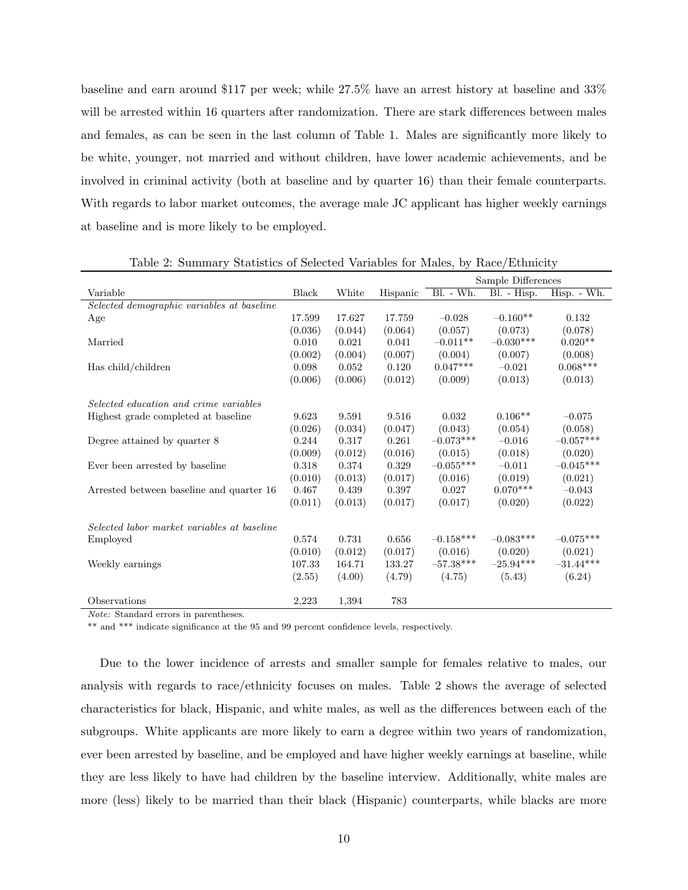baseline and earn around \$117 per week; while 27.5% have an arrest history at baseline and 33% will be arrested within 16 quarters after randomization. There are stark differences between males and females, as can be seen in the last column of Table 1. Males are significantly more likely to be white, younger, not married and without children, have lower academic achievements, and be involved in criminal activity (both at baseline and by quarter 16) than their female counterparts. With regards to labor market outcomes, the average male JC applicant has higher weekly earnings at baseline and is more likely to be employed.

|                                             |              |         |          |             | Sample Differences |             |
|---------------------------------------------|--------------|---------|----------|-------------|--------------------|-------------|
| Variable                                    | <b>Black</b> | White   | Hispanic | Bl. - Wh.   | Bl. - Hisp.        | Hisp. - Wh. |
| Selected demographic variables at baseline  |              |         |          |             |                    |             |
| Age                                         | 17.599       | 17.627  | 17.759   | $-0.028$    | $-0.160**$         | 0.132       |
|                                             | (0.036)      | (0.044) | (0.064)  | (0.057)     | (0.073)            | (0.078)     |
| Married                                     | 0.010        | 0.021   | 0.041    | $-0.011**$  | $-0.030***$        | $0.020**$   |
|                                             | (0.002)      | (0.004) | (0.007)  | (0.004)     | (0.007)            | (0.008)     |
| Has child/children                          | 0.098        | 0.052   | 0.120    | $0.047***$  | $-0.021$           | $0.068***$  |
|                                             | (0.006)      | (0.006) | (0.012)  | (0.009)     | (0.013)            | (0.013)     |
|                                             |              |         |          |             |                    |             |
| Selected education and crime variables      |              |         |          |             |                    |             |
| Highest grade completed at baseline         | 9.623        | 9.591   | 9.516    | 0.032       | $0.106**$          | $-0.075$    |
|                                             | (0.026)      | (0.034) | (0.047)  | (0.043)     | (0.054)            | (0.058)     |
| Degree attained by quarter 8                | 0.244        | 0.317   | 0.261    | $-0.073***$ | $-0.016$           | $-0.057***$ |
|                                             | (0.009)      | (0.012) | (0.016)  | (0.015)     | (0.018)            | (0.020)     |
| Ever been arrested by baseline              | 0.318        | 0.374   | 0.329    | $-0.055***$ | $-0.011$           | $-0.045***$ |
|                                             | (0.010)      | (0.013) | (0.017)  | (0.016)     | (0.019)            | (0.021)     |
| Arrested between baseline and quarter 16    | 0.467        | 0.439   | 0.397    | 0.027       | $0.070***$         | $-0.043$    |
|                                             | (0.011)      | (0.013) | (0.017)  | (0.017)     | (0.020)            | (0.022)     |
|                                             |              |         |          |             |                    |             |
| Selected labor market variables at baseline |              |         |          |             |                    |             |
| Employed                                    | 0.574        | 0.731   | 0.656    | $-0.158***$ | $-0.083***$        | $-0.075***$ |
|                                             | (0.010)      | (0.012) | (0.017)  | (0.016)     | (0.020)            | (0.021)     |
| Weekly earnings                             | 107.33       | 164.71  | 133.27   | $-57.38***$ | $-25.94***$        | $-31.44***$ |
|                                             | (2.55)       | (4.00)  | (4.79)   | (4.75)      | (5.43)             | (6.24)      |
|                                             |              |         |          |             |                    |             |
| Observations                                | 2,223        | 1,394   | 783      |             |                    |             |

Table 2: Summary Statistics of Selected Variables for Males, by Race/Ethnicity

Note: Standard errors in parentheses.

\*\* and \*\*\* indicate significance at the 95 and 99 percent confidence levels, respectively.

Due to the lower incidence of arrests and smaller sample for females relative to males, our analysis with regards to race/ethnicity focuses on males. Table 2 shows the average of selected characteristics for black, Hispanic, and white males, as well as the differences between each of the subgroups. White applicants are more likely to earn a degree within two years of randomization, ever been arrested by baseline, and be employed and have higher weekly earnings at baseline, while they are less likely to have had children by the baseline interview. Additionally, white males are more (less) likely to be married than their black (Hispanic) counterparts, while blacks are more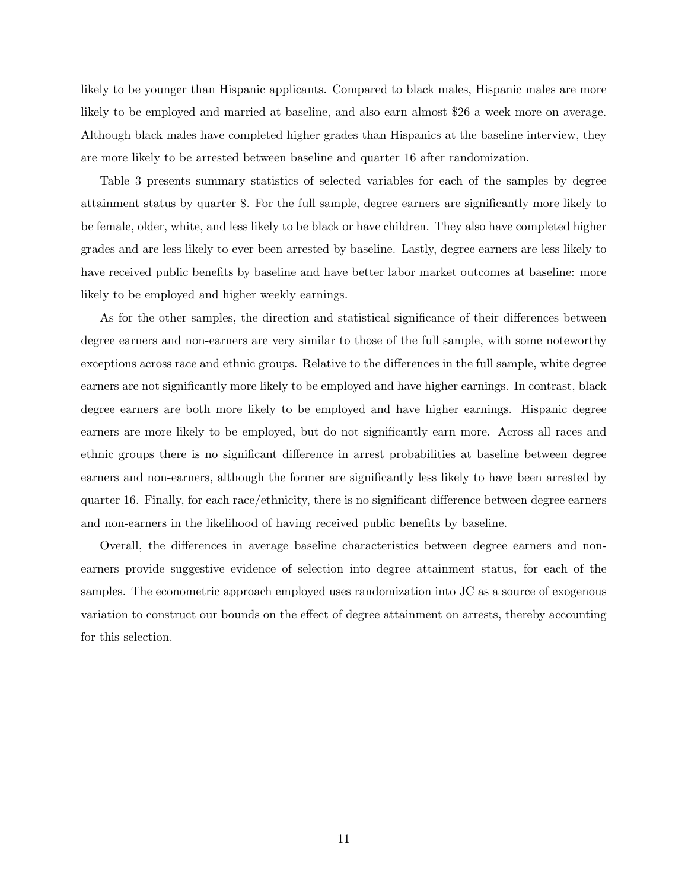likely to be younger than Hispanic applicants. Compared to black males, Hispanic males are more likely to be employed and married at baseline, and also earn almost \$26 a week more on average. Although black males have completed higher grades than Hispanics at the baseline interview, they are more likely to be arrested between baseline and quarter 16 after randomization.

Table 3 presents summary statistics of selected variables for each of the samples by degree attainment status by quarter 8. For the full sample, degree earners are significantly more likely to be female, older, white, and less likely to be black or have children. They also have completed higher grades and are less likely to ever been arrested by baseline. Lastly, degree earners are less likely to have received public benefits by baseline and have better labor market outcomes at baseline: more likely to be employed and higher weekly earnings.

As for the other samples, the direction and statistical significance of their differences between degree earners and non-earners are very similar to those of the full sample, with some noteworthy exceptions across race and ethnic groups. Relative to the differences in the full sample, white degree earners are not significantly more likely to be employed and have higher earnings. In contrast, black degree earners are both more likely to be employed and have higher earnings. Hispanic degree earners are more likely to be employed, but do not significantly earn more. Across all races and ethnic groups there is no significant difference in arrest probabilities at baseline between degree earners and non-earners, although the former are significantly less likely to have been arrested by quarter 16. Finally, for each race/ethnicity, there is no significant difference between degree earners and non-earners in the likelihood of having received public benefits by baseline.

Overall, the differences in average baseline characteristics between degree earners and nonearners provide suggestive evidence of selection into degree attainment status, for each of the samples. The econometric approach employed uses randomization into JC as a source of exogenous variation to construct our bounds on the effect of degree attainment on arrests, thereby accounting for this selection.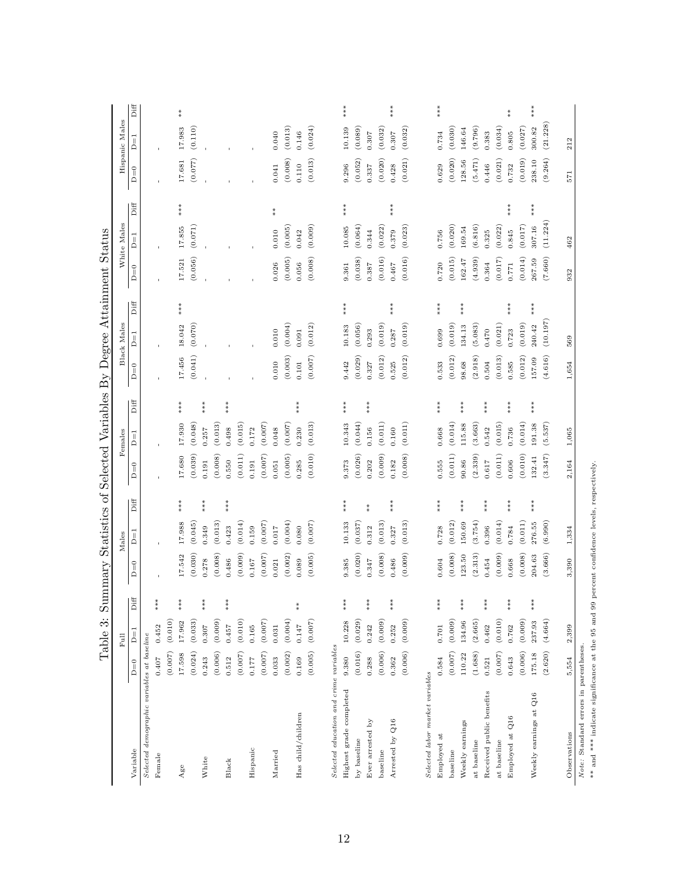|                                                                                                                                     |         | Table 3:  |                                                 |         |         |                                              |           |         |                              |           |             |                    | Summary Statistics of Selected Variables By Degree Attainment Status |                    |                                              |         |                |                              |
|-------------------------------------------------------------------------------------------------------------------------------------|---------|-----------|-------------------------------------------------|---------|---------|----------------------------------------------|-----------|---------|------------------------------|-----------|-------------|--------------------|----------------------------------------------------------------------|--------------------|----------------------------------------------|---------|----------------|------------------------------|
|                                                                                                                                     |         | Full      |                                                 |         | Males   |                                              |           | Females |                              |           | Black Males |                    |                                                                      | White Males        |                                              |         | Hispanic Males |                              |
| Variable                                                                                                                            | $D=0$   |           | $\mathrm{Diff}$                                 | $D=0$   | Ï       | $\mathrm{Diff}$                              | $D=0$     | $D=1$   | $\mathop{\rm Diff}\nolimits$ | $D=0$     | ∏<br>¤      | Diff               | $D=0$                                                                | $\overline{D} = 1$ | Diff                                         | $D=0$   | ∏<br>Д         | $\mathop{\rm Diff}\nolimits$ |
| Selected demographic variables at baseline                                                                                          |         |           |                                                 |         |         |                                              |           |         |                              |           |             |                    |                                                                      |                    |                                              |         |                |                              |
| Female                                                                                                                              | 0.407   | 0.452     | ***                                             |         |         |                                              |           |         |                              |           |             |                    |                                                                      |                    |                                              |         |                |                              |
|                                                                                                                                     | (0.007) | (0.010)   |                                                 |         |         |                                              |           |         |                              |           |             |                    |                                                                      |                    |                                              |         |                |                              |
| $A$ ge                                                                                                                              | 17.598  | 17.962    | $***$                                           | 17.542  | 17.988  | ***                                          | 17.680    | 17.930  | $**\n$                       | 17.456    | 18.042      | ***                | 17.521                                                               | 17.855             | ***                                          | 17.681  | 17.983         | $*_*$                        |
|                                                                                                                                     | (0.024) | (0.033)   |                                                 | (0.030) | (0.045) |                                              | (0.039)   | (0.048) |                              | (0.041)   | (0.070)     |                    | (0.056)                                                              | (0.071)            |                                              | (0.077) | (0.110)        |                              |
| White                                                                                                                               | 0.243   | 0.307     | ***                                             | 0.278   | 0.349   | $***$                                        | 0.191     | 0.257   | ***                          |           |             |                    |                                                                      |                    |                                              |         |                |                              |
|                                                                                                                                     | (0.006) | (0.009)   |                                                 | (0.008) | (0.013) |                                              | (0.008)   | (0.013) |                              |           |             |                    |                                                                      |                    |                                              |         |                |                              |
| Black                                                                                                                               | 0.512   | 0.457     | ***                                             | 0.486   | 0.423   | $***$                                        | 0.550     | 0.498   | ***                          |           |             |                    |                                                                      |                    |                                              |         |                |                              |
|                                                                                                                                     | (0.007) | (0.010)   |                                                 | (0.009) | (0.014) |                                              | (0.011)   | (0.015) |                              |           |             |                    |                                                                      |                    |                                              |         |                |                              |
| Hispanic                                                                                                                            | 0.177   | $0.165\,$ |                                                 | 0.167   | 0.159   |                                              | 0.191     | 0.172   |                              |           |             |                    |                                                                      |                    |                                              |         |                |                              |
|                                                                                                                                     | (0.007) | (0.007)   |                                                 | (0.007) | (0.007) |                                              | (0.007)   | (0.007) |                              |           |             |                    |                                                                      |                    |                                              |         |                |                              |
| Married                                                                                                                             | 0.033   | 0.031     |                                                 | 0.021   | 0.017   |                                              | 0.051     | 0.048   |                              | 0.010     | 0.010       |                    | 0.026                                                                | 0.010              | $*$                                          | 0.041   | 0.040          |                              |
|                                                                                                                                     | (0.002) | (0.004)   |                                                 | (0.002) | (0.004) |                                              | (0.005)   | (0.007) |                              | (0.003)   | (0.004)     |                    | (0.005)                                                              | (0.005)            |                                              | (0.008) | (0.013)        |                              |
| Has child/children                                                                                                                  | 0.169   | 0.147     | $*$                                             | 0.089   | 0.080   |                                              | 0.285     | 0.230   | ***                          | 0.101     | 0.091       |                    | 0.056                                                                | 0.042              |                                              | 0.110   | 0.146          |                              |
|                                                                                                                                     | (0.005) | (0.007)   |                                                 | (0.005) | (0.007) |                                              | (0.010)   | (0.013) |                              | $(0.007)$ | (0.012)     |                    | (0.008)                                                              | (0.009)            |                                              | (0.013) | (0.024)        |                              |
| Selected education and crime variables                                                                                              |         |           |                                                 |         |         |                                              |           |         |                              |           |             |                    |                                                                      |                    |                                              |         |                |                              |
| Highest grade completed                                                                                                             | 9.380   | 10.228    | ***                                             | 9.385   | 10.133  | $***$                                        | 9.373     | 10.343  | ***                          | 9.442     | 10.183      | $**\n  * \n  * \n$ | 9.361                                                                | 10.085             | $***$                                        | 9.296   | 10.139         | $***$                        |
| by baseline                                                                                                                         | (0.016) | (0.029)   |                                                 | (0.020) | (0.037) |                                              | (0.026)   | (0.044) |                              | (0.029)   | (0.056)     |                    | (0.038)                                                              | (0.064)            |                                              | (0.052) | (0.089)        |                              |
| Ever arrested by                                                                                                                    | 0.288   | 0.242     | $***$                                           | 0.347   | 0.312   | $* \atop *$                                  | 0.202     | 0.156   | $**\n$                       | 0.327     | 0.293       |                    | 0.387                                                                | 0.344              |                                              | 0.337   | 0.307          |                              |
| baseline                                                                                                                            | (0.006) | (0.009)   |                                                 | (0.008) | (0.013) |                                              | (0.009)   | (0.011) |                              | (0.012)   | (0.019)     |                    | (0.016)                                                              | (0.022)            |                                              | (0.020) | (0.032)        |                              |
| Arrested by Q16                                                                                                                     | 0.362   | 0.252     | $***$                                           | 0.486   | 0.327   | $\begin{array}{l} * \ * \ * \ * \end{array}$ | 0.182     | 0.160   |                              | 0.525     | 0.287       | $***$              | 0.467                                                                | 0.379              | $**\n$                                       | 0.428   | 0.307          | $***$                        |
|                                                                                                                                     | (0.006) | (0.009)   |                                                 | (0.009) | (0.013) |                                              | (0.008)   | (0.011) |                              | (0.012)   | (0.019)     |                    | (0.016)                                                              | (0.023)            |                                              | (0.021) | (0.032)        |                              |
| Selected labor market variables                                                                                                     |         |           |                                                 |         |         |                                              |           |         |                              |           |             |                    |                                                                      |                    |                                              |         |                |                              |
| Employed at                                                                                                                         | 0.584   | 0.701     | ***                                             | 0.604   | 0.728   | ***                                          | 0.555     | 0.668   | ***                          | 0.533     | 0.699       | ***                | 0.720                                                                | 0.756              |                                              | 0.629   | 0.734          | ***                          |
| baseline                                                                                                                            | (0.007) | (0.009)   |                                                 | (0.008) | (0.012) |                                              | (0.011)   | (0.014) |                              | (0.012)   | (0.019)     |                    | (0.015)                                                              | (0.020)            |                                              | (0.020) | (0.030)        |                              |
| Weekly earnings                                                                                                                     | 110.22  | 134.96    | $***$                                           | 123.50  | 150.69  | $***$                                        | 90.86     | 115.88  | $***$                        | 98.68     | 134.13      | $**\n$             | 162.47                                                               | 169.54             |                                              | 128.56  | 146.64         |                              |
| at baseline                                                                                                                         | (1.688) | (2.665)   |                                                 | (2.313) | (3.754) |                                              | (2.339)   | (3.663) |                              | (2.918)   | (5.083)     |                    | (4.939)                                                              | (6.816)            |                                              | (5.471) | (9.796)        |                              |
| Received public benefits                                                                                                            | 0.521   | 0.462     | $***$                                           | 0.454   | 0.396   | $***$                                        | $0.617\,$ | 0.542   | $***$                        | 0.504     | 0.470       |                    | 0.364                                                                | 0.325              |                                              | 0.446   | 0.383          |                              |
| at baseline                                                                                                                         | (0.007) | (0.010)   |                                                 | (0.009) | (0.014) |                                              | (0.011)   | (0.015) |                              | (0.013)   | (0.021)     |                    | (0.017)                                                              | (0.022)            |                                              | (0.021) | (0.034)        |                              |
| Employed at Q16                                                                                                                     | 0.643   | 0.762     | $\begin{array}{l} * \\ * \\ * \\ * \end{array}$ | 0.668   | 0.784   | $**\n$                                       | 0.606     | 0.736   | $***$                        | 0.585     | 0.723       | $***$              | 0.771                                                                | 0.845              | $\begin{array}{l} * \ * \ * \ * \end{array}$ | 0.732   | 0.805          | $* *$                        |
|                                                                                                                                     | (0.006) | (0.009)   |                                                 | (0.008) | (0.011) |                                              | (0.010)   | (0.014) |                              | (0.012)   | (0.019)     |                    | (0.014)                                                              | (0.017)            |                                              | (0.019) | (0.027)        |                              |
| Weekly earnings at Q16                                                                                                              | 175.18  | 237.93    | ***                                             | 204.63  | 276.55  | ***                                          | 132.41    | 191.38  | ***                          | 157.09    | 240.42      | $***$              | 267.59                                                               | 307.16             | ***                                          | 238.10  | 300.82         | ***                          |
|                                                                                                                                     | (2.620) | (4.664)   |                                                 | (3.666) | (6.990) |                                              | (3.347)   | (5.537) |                              | (4.616)   | (10.197)    |                    | (7.660)                                                              | (11.224)           |                                              | (9.264) | (21.228)       |                              |
| Observations                                                                                                                        | 5,554   | 2,399     |                                                 | 3,390   | 1,334   |                                              | 2,164     | 1,065   |                              | 1,654     | 569         |                    | 932                                                                  | 462                |                                              | 571     | 212            |                              |
| ** and *** indicate significance at the 95 and 99 percent confidence levels, respectively.<br>Note: Standard errors in parentheses. |         |           |                                                 |         |         |                                              |           |         |                              |           |             |                    |                                                                      |                    |                                              |         |                |                              |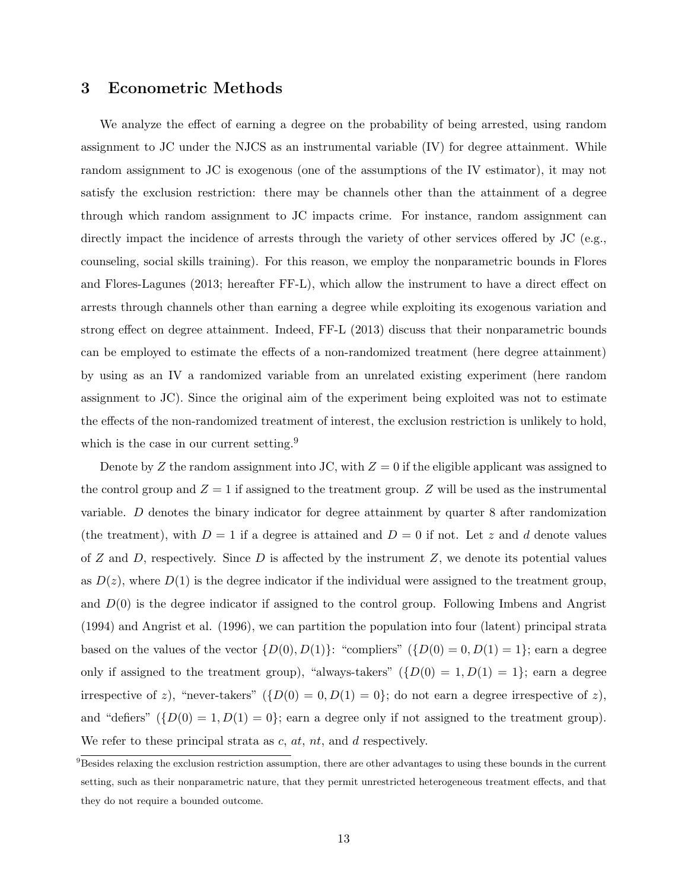#### 3 Econometric Methods

We analyze the effect of earning a degree on the probability of being arrested, using random assignment to JC under the NJCS as an instrumental variable (IV) for degree attainment. While random assignment to JC is exogenous (one of the assumptions of the IV estimator), it may not satisfy the exclusion restriction: there may be channels other than the attainment of a degree through which random assignment to JC impacts crime. For instance, random assignment can directly impact the incidence of arrests through the variety of other services offered by JC (e.g., counseling, social skills training). For this reason, we employ the nonparametric bounds in Flores and Flores-Lagunes (2013; hereafter FF-L), which allow the instrument to have a direct effect on arrests through channels other than earning a degree while exploiting its exogenous variation and strong effect on degree attainment. Indeed, FF-L (2013) discuss that their nonparametric bounds can be employed to estimate the effects of a non-randomized treatment (here degree attainment) by using as an IV a randomized variable from an unrelated existing experiment (here random assignment to JC). Since the original aim of the experiment being exploited was not to estimate the effects of the non-randomized treatment of interest, the exclusion restriction is unlikely to hold, which is the case in our current setting.<sup>9</sup>

Denote by Z the random assignment into JC, with  $Z = 0$  if the eligible applicant was assigned to the control group and  $Z = 1$  if assigned to the treatment group. Z will be used as the instrumental variable. D denotes the binary indicator for degree attainment by quarter 8 after randomization (the treatment), with  $D = 1$  if a degree is attained and  $D = 0$  if not. Let z and d denote values of  $Z$  and  $D$ , respectively. Since  $D$  is affected by the instrument  $Z$ , we denote its potential values as  $D(z)$ , where  $D(1)$  is the degree indicator if the individual were assigned to the treatment group, and  $D(0)$  is the degree indicator if assigned to the control group. Following Imbens and Angrist (1994) and Angrist et al. (1996), we can partition the population into four (latent) principal strata based on the values of the vector  $\{D(0), D(1)\}$ : "compliers"  $(\{D(0) = 0, D(1) = 1\})$ ; earn a degree only if assigned to the treatment group), "always-takers"  $({D(0) = 1, D(1) = 1})$ ; earn a degree irrespective of z), "never-takers"  $({D(0) = 0, D(1) = 0};$  do not earn a degree irrespective of z), and "defiers"  $({D(0) = 1, D(1) = 0};$  earn a degree only if not assigned to the treatment group). We refer to these principal strata as  $c, at, nt$ , and  $d$  respectively.

 $9B$ esides relaxing the exclusion restriction assumption, there are other advantages to using these bounds in the current setting, such as their nonparametric nature, that they permit unrestricted heterogeneous treatment effects, and that they do not require a bounded outcome.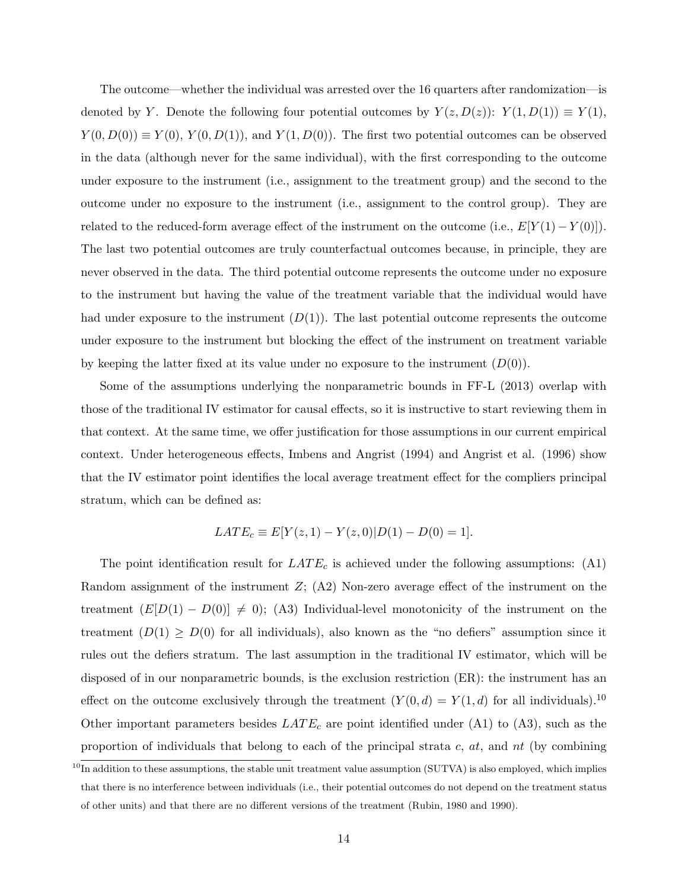The outcome—whether the individual was arrested over the 16 quarters after randomization—is denoted by Y. Denote the following four potential outcomes by  $Y(z, D(z))$ :  $Y(1, D(1)) \equiv Y(1)$ ,  $Y(0, D(0)) \equiv Y(0), Y(0, D(1)),$  and  $Y(1, D(0))$ . The first two potential outcomes can be observed in the data (although never for the same individual), with the first corresponding to the outcome under exposure to the instrument (i.e., assignment to the treatment group) and the second to the outcome under no exposure to the instrument (i.e., assignment to the control group). They are related to the reduced-form average effect of the instrument on the outcome (i.e.,  $E[Y(1) - Y(0)]$ ). The last two potential outcomes are truly counterfactual outcomes because, in principle, they are never observed in the data. The third potential outcome represents the outcome under no exposure to the instrument but having the value of the treatment variable that the individual would have had under exposure to the instrument  $(D(1))$ . The last potential outcome represents the outcome under exposure to the instrument but blocking the effect of the instrument on treatment variable by keeping the latter fixed at its value under no exposure to the instrument  $(D(0))$ .

Some of the assumptions underlying the nonparametric bounds in FF-L (2013) overlap with those of the traditional IV estimator for causal effects, so it is instructive to start reviewing them in that context. At the same time, we offer justification for those assumptions in our current empirical context. Under heterogeneous effects, Imbens and Angrist (1994) and Angrist et al. (1996) show that the IV estimator point identifies the local average treatment effect for the compliers principal stratum, which can be defined as:

$$
LATE_c \equiv E[Y(z, 1) - Y(z, 0)|D(1) - D(0) = 1].
$$

The point identification result for  $LATE_c$  is achieved under the following assumptions: (A1) Random assignment of the instrument  $Z$ ; (A2) Non-zero average effect of the instrument on the treatment  $(E[D(1) - D(0)] \neq 0)$ ; (A3) Individual-level monotonicity of the instrument on the treatment  $(D(1) \geq D(0)$  for all individuals), also known as the "no defiers" assumption since it rules out the defiers stratum. The last assumption in the traditional IV estimator, which will be disposed of in our nonparametric bounds, is the exclusion restriction (ER): the instrument has an effect on the outcome exclusively through the treatment  $(Y(0, d) = Y(1, d)$  for all individuals).<sup>10</sup> Other important parameters besides  $LATE_c$  are point identified under (A1) to (A3), such as the proportion of individuals that belong to each of the principal strata  $c, at$ , and  $nt$  (by combining

 $^{10}$ In addition to these assumptions, the stable unit treatment value assumption (SUTVA) is also employed, which implies that there is no interference between individuals (i.e., their potential outcomes do not depend on the treatment status of other units) and that there are no different versions of the treatment (Rubin, 1980 and 1990).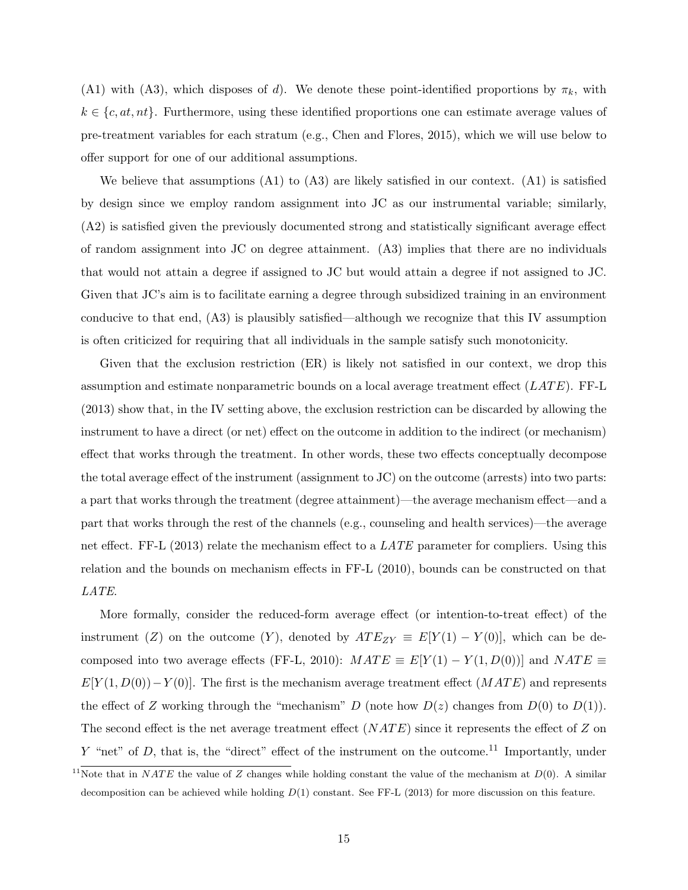(A1) with (A3), which disposes of d). We denote these point-identified proportions by  $\pi_k$ , with  $k \in \{c, at, nt\}$ . Furthermore, using these identified proportions one can estimate average values of pre-treatment variables for each stratum (e.g., Chen and Flores, 2015), which we will use below to offer support for one of our additional assumptions.

We believe that assumptions  $(A1)$  to  $(A3)$  are likely satisfied in our context.  $(A1)$  is satisfied by design since we employ random assignment into JC as our instrumental variable; similarly, (A2) is satisfied given the previously documented strong and statistically significant average effect of random assignment into JC on degree attainment. (A3) implies that there are no individuals that would not attain a degree if assigned to JC but would attain a degree if not assigned to JC. Given that JC's aim is to facilitate earning a degree through subsidized training in an environment conducive to that end, (A3) is plausibly satisfied—although we recognize that this IV assumption is often criticized for requiring that all individuals in the sample satisfy such monotonicity.

Given that the exclusion restriction (ER) is likely not satisfied in our context, we drop this assumption and estimate nonparametric bounds on a local average treatment effect  $(LATE)$ . FF-L (2013) show that, in the IV setting above, the exclusion restriction can be discarded by allowing the instrument to have a direct (or net) effect on the outcome in addition to the indirect (or mechanism) effect that works through the treatment. In other words, these two effects conceptually decompose the total average effect of the instrument (assignment to JC) on the outcome (arrests) into two parts: a part that works through the treatment (degree attainment)—the average mechanism effect—and a part that works through the rest of the channels (e.g., counseling and health services)—the average net effect. FF-L (2013) relate the mechanism effect to a *LATE* parameter for compliers. Using this relation and the bounds on mechanism effects in FF-L (2010), bounds can be constructed on that LATE.

More formally, consider the reduced-form average effect (or intention-to-treat effect) of the instrument (Z) on the outcome (Y), denoted by  $ATE_{ZY} \equiv E[Y(1) - Y(0)]$ , which can be decomposed into two average effects (FF-L, 2010):  $MATE \equiv E[Y(1) - Y(1, D(0))]$  and  $NATE \equiv$  $E[Y(1, D(0)) - Y(0)]$ . The first is the mechanism average treatment effect  $(MATE)$  and represents the effect of Z working through the "mechanism" D (note how  $D(z)$  changes from  $D(0)$  to  $D(1)$ ). The second effect is the net average treatment effect  $(NATE)$  since it represents the effect of Z on Y "net" of D, that is, the "direct" effect of the instrument on the outcome.<sup>11</sup> Importantly, under

<sup>&</sup>lt;sup>11</sup>Note that in NATE the value of Z changes while holding constant the value of the mechanism at  $D(0)$ . A similar decomposition can be achieved while holding  $D(1)$  constant. See FF-L (2013) for more discussion on this feature.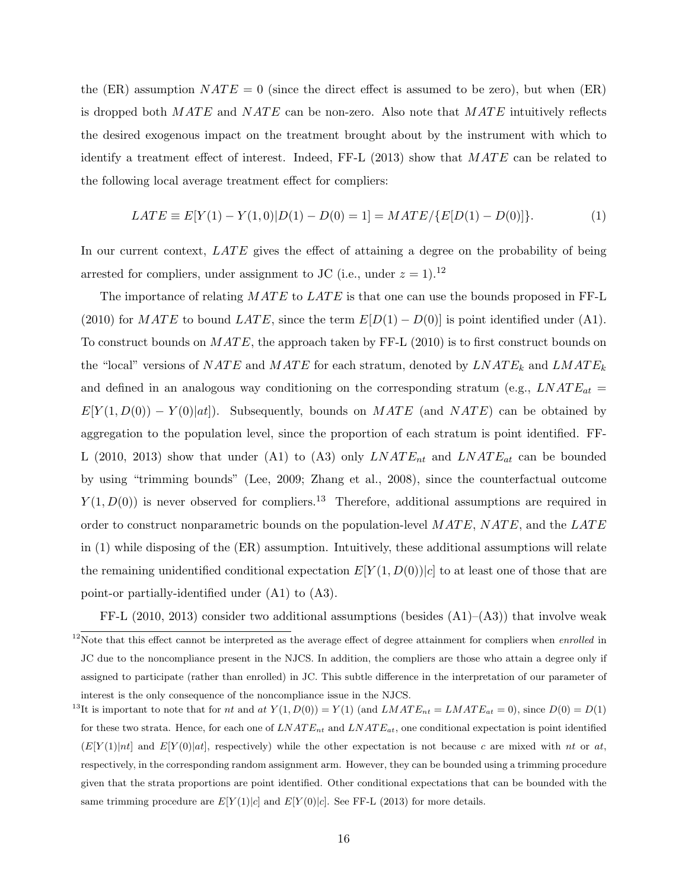the (ER) assumption  $NATE = 0$  (since the direct effect is assumed to be zero), but when (ER) is dropped both  $MATE$  and  $NATE$  can be non-zero. Also note that  $MATE$  intuitively reflects the desired exogenous impact on the treatment brought about by the instrument with which to identify a treatment effect of interest. Indeed, FF-L  $(2013)$  show that  $MATE$  can be related to the following local average treatment effect for compliers:

$$
LATE \equiv E[Y(1) - Y(1,0)|D(1) - D(0) = 1] = MATE / \{E[D(1) - D(0)]\}.
$$
 (1)

In our current context,  $LATE$  gives the effect of attaining a degree on the probability of being arrested for compliers, under assignment to JC (i.e., under  $z = 1$ ).<sup>12</sup>

The importance of relating  $MATE$  to  $LATE$  is that one can use the bounds proposed in FF-L (2010) for MATE to bound LATE, since the term  $E[D(1)-D(0)]$  is point identified under (A1). To construct bounds on  $MATE$ , the approach taken by FF-L (2010) is to first construct bounds on the "local" versions of  $NATE$  and  $MATE$  for each stratum, denoted by  $LNATE_k$  and  $LMATE_k$ and defined in an analogous way conditioning on the corresponding stratum (e.g.,  $LNATE_{at}$  =  $E[Y(1, D(0)) - Y(0)|at]$ . Subsequently, bounds on MATE (and NATE) can be obtained by aggregation to the population level, since the proportion of each stratum is point identified. FF-L (2010, 2013) show that under (A1) to (A3) only  $LNATE_{nt}$  and  $LNATE_{at}$  can be bounded by using "trimming bounds" (Lee, 2009; Zhang et al., 2008), since the counterfactual outcome  $Y(1, D(0))$  is never observed for compliers.<sup>13</sup> Therefore, additional assumptions are required in order to construct nonparametric bounds on the population-level  $MATE$ ,  $NATE$ , and the  $LATE$ in (1) while disposing of the (ER) assumption. Intuitively, these additional assumptions will relate the remaining unidentified conditional expectation  $E[Y(1, D(0))|c]$  to at least one of those that are point-or partially-identified under (A1) to (A3).

FF-L (2010, 2013) consider two additional assumptions (besides  $(A1)$ – $(A3)$ ) that involve weak

<sup>&</sup>lt;sup>12</sup>Note that this effect cannot be interpreted as the average effect of degree attainment for compliers when *enrolled* in JC due to the noncompliance present in the NJCS. In addition, the compliers are those who attain a degree only if assigned to participate (rather than enrolled) in JC. This subtle difference in the interpretation of our parameter of interest is the only consequence of the noncompliance issue in the NJCS.

<sup>&</sup>lt;sup>13</sup>It is important to note that for *nt* and *at*  $Y(1, D(0)) = Y(1)$  (and  $LMATE_{nt} = LMATE_{at} = 0$ ), since  $D(0) = D(1)$ for these two strata. Hence, for each one of  $LNATE_{nt}$  and  $LNATE_{at}$ , one conditional expectation is point identified  $(E[Y(1)]nt]$  and  $E[Y(0)|at]$ , respectively) while the other expectation is not because c are mixed with nt or at, respectively, in the corresponding random assignment arm. However, they can be bounded using a trimming procedure given that the strata proportions are point identified. Other conditional expectations that can be bounded with the same trimming procedure are  $E[Y(1)|c]$  and  $E[Y(0)|c]$ . See FF-L (2013) for more details.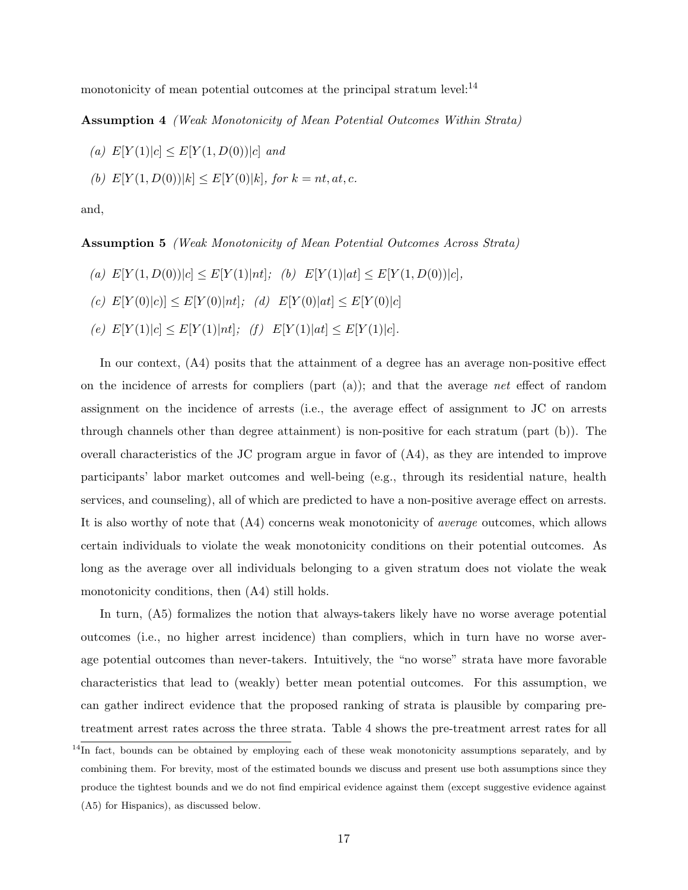monotonicity of mean potential outcomes at the principal stratum level: $^{14}$ 

Assumption 4 (Weak Monotonicity of Mean Potential Outcomes Within Strata)

(a)  $E[Y(1)|c] \le E[Y(1, D(0))|c]$  and

(b)  $E[Y(1, D(0))|k] \le E[Y(0)|k]$ , for  $k = nt, at, c$ .

and,

Assumption 5 (Weak Monotonicity of Mean Potential Outcomes Across Strata)

- (a)  $E[Y(1, D(0))|c] \leq E[Y(1)|nt];$  (b)  $E[Y(1)|at] \leq E[Y(1, D(0))|c]$ ,
- (c)  $E[Y(0)|c] \leq E[Y(0)|nt];$  (d)  $E[Y(0)|at] \leq E[Y(0)|c]$
- (e)  $E[Y(1)|c] \leq E[Y(1)|nt|;$  (f)  $E[Y(1)|at] \leq E[Y(1)|c]$ .

In our context, (A4) posits that the attainment of a degree has an average non-positive effect on the incidence of arrests for compliers (part  $(a)$ ); and that the average net effect of random assignment on the incidence of arrests (i.e., the average effect of assignment to JC on arrests through channels other than degree attainment) is non-positive for each stratum (part (b)). The overall characteristics of the JC program argue in favor of (A4), as they are intended to improve participants' labor market outcomes and well-being (e.g., through its residential nature, health services, and counseling), all of which are predicted to have a non-positive average effect on arrests. It is also worthy of note that (A4) concerns weak monotonicity of average outcomes, which allows certain individuals to violate the weak monotonicity conditions on their potential outcomes. As long as the average over all individuals belonging to a given stratum does not violate the weak monotonicity conditions, then (A4) still holds.

In turn, (A5) formalizes the notion that always-takers likely have no worse average potential outcomes (i.e., no higher arrest incidence) than compliers, which in turn have no worse average potential outcomes than never-takers. Intuitively, the "no worse" strata have more favorable characteristics that lead to (weakly) better mean potential outcomes. For this assumption, we can gather indirect evidence that the proposed ranking of strata is plausible by comparing pretreatment arrest rates across the three strata. Table 4 shows the pre-treatment arrest rates for all

<sup>&</sup>lt;sup>14</sup>In fact, bounds can be obtained by employing each of these weak monotonicity assumptions separately, and by combining them. For brevity, most of the estimated bounds we discuss and present use both assumptions since they produce the tightest bounds and we do not find empirical evidence against them (except suggestive evidence against (A5) for Hispanics), as discussed below.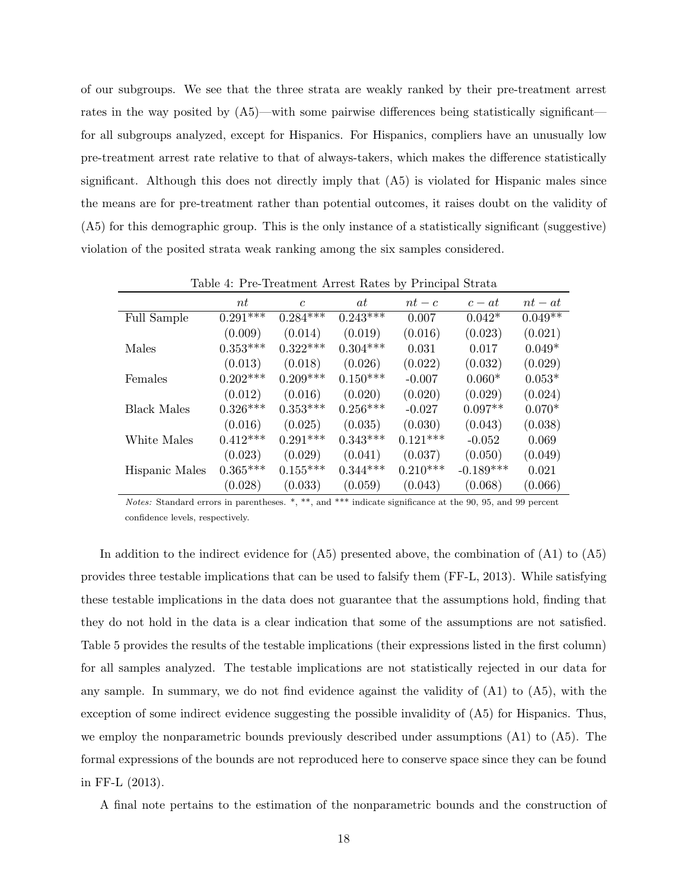of our subgroups. We see that the three strata are weakly ranked by their pre-treatment arrest rates in the way posited by (A5)—with some pairwise differences being statistically significant for all subgroups analyzed, except for Hispanics. For Hispanics, compliers have an unusually low pre-treatment arrest rate relative to that of always-takers, which makes the difference statistically significant. Although this does not directly imply that (A5) is violated for Hispanic males since the means are for pre-treatment rather than potential outcomes, it raises doubt on the validity of (A5) for this demographic group. This is the only instance of a statistically significant (suggestive) violation of the posited strata weak ranking among the six samples considered.

|                    | nt              | $\mathcal{C}$ | at         | $nt-c$     | $c - at$    | $nt-at$   |
|--------------------|-----------------|---------------|------------|------------|-------------|-----------|
| Full Sample        | $0.291***$      | $0.284***$    | $0.243***$ | 0.007      | $0.042*$    | $0.049**$ |
|                    | (0.009)         | (0.014)       | (0.019)    | (0.016)    | (0.023)     | (0.021)   |
| Males              | $0.353^{***}\,$ | $0.322***$    | $0.304***$ | 0.031      | 0.017       | $0.049*$  |
|                    | (0.013)         | (0.018)       | (0.026)    | (0.022)    | (0.032)     | (0.029)   |
| Females            | $0.202***$      | $0.209***$    | $0.150***$ | $-0.007$   | $0.060*$    | $0.053*$  |
|                    | (0.012)         | (0.016)       | (0.020)    | (0.020)    | (0.029)     | (0.024)   |
| <b>Black Males</b> | $0.326***$      | $0.353***$    | $0.256***$ | $-0.027$   | $0.097**$   | $0.070*$  |
|                    | (0.016)         | (0.025)       | (0.035)    | (0.030)    | (0.043)     | (0.038)   |
| White Males        | $0.412***$      | $0.291***$    | $0.343***$ | $0.121***$ | $-0.052$    | 0.069     |
|                    | (0.023)         | (0.029)       | (0.041)    | (0.037)    | (0.050)     | (0.049)   |
| Hispanic Males     | $0.365***$      | $0.155***$    | $0.344***$ | $0.210***$ | $-0.189***$ | 0.021     |
|                    | (0.028)         | (0.033)       | (0.059)    | (0.043)    | (0.068)     | (0.066)   |

Table 4: Pre-Treatment Arrest Rates by Principal Strata

Notes: Standard errors in parentheses. \*, \*\*, and \*\*\* indicate significance at the 90, 95, and 99 percent confidence levels, respectively.

In addition to the indirect evidence for (A5) presented above, the combination of (A1) to (A5) provides three testable implications that can be used to falsify them (FF-L, 2013). While satisfying these testable implications in the data does not guarantee that the assumptions hold, finding that they do not hold in the data is a clear indication that some of the assumptions are not satisfied. Table 5 provides the results of the testable implications (their expressions listed in the first column) for all samples analyzed. The testable implications are not statistically rejected in our data for any sample. In summary, we do not find evidence against the validity of  $(A1)$  to  $(A5)$ , with the exception of some indirect evidence suggesting the possible invalidity of (A5) for Hispanics. Thus, we employ the nonparametric bounds previously described under assumptions (A1) to (A5). The formal expressions of the bounds are not reproduced here to conserve space since they can be found in FF-L (2013).

A final note pertains to the estimation of the nonparametric bounds and the construction of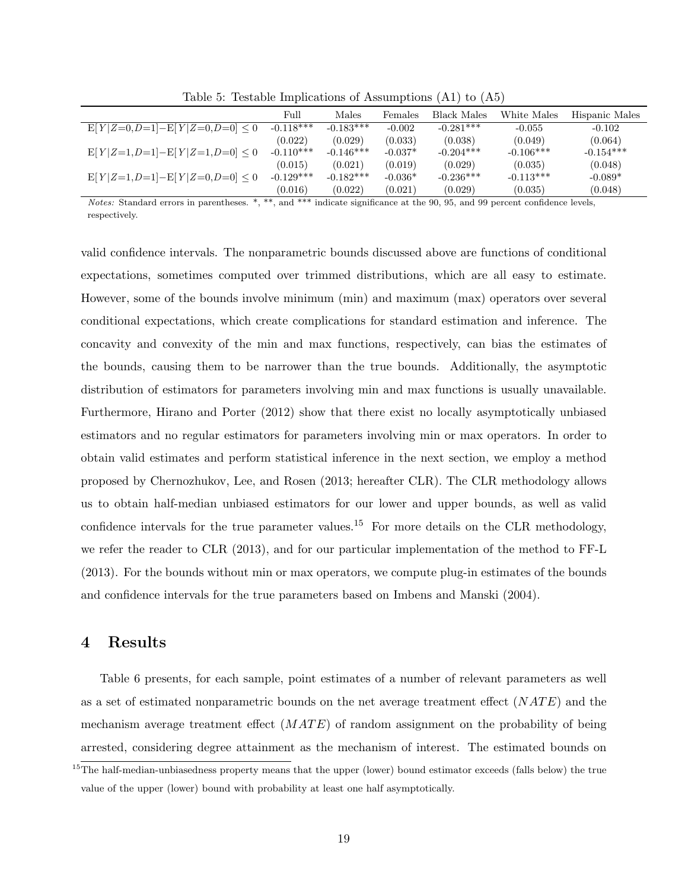|                                   | Full        | Males       | Females   | <b>Black Males</b> | White Males | Hispanic Males |
|-----------------------------------|-------------|-------------|-----------|--------------------|-------------|----------------|
| $E[Y Z=0,D=1]-E[Y Z=0,D=0]\leq 0$ | $-0.118***$ | $-0.183***$ | $-0.002$  | $-0.281***$        | $-0.055$    | $-0.102$       |
|                                   | (0.022)     | (0.029)     | (0.033)   | (0.038)            | (0.049)     | (0.064)        |
| $E[Y Z=1,D=1]-E[Y Z=1,D=0]\leq 0$ | $-0.110***$ | $-0.146***$ | $-0.037*$ | $-0.204***$        | $-0.106***$ | $-0.154***$    |
|                                   | (0.015)     | (0.021)     | (0.019)   | (0.029)            | (0.035)     | (0.048)        |
| $E[Y Z=1,D=1]-E[Y Z=0,D=0]\leq 0$ | $-0.129***$ | $-0.182***$ | $-0.036*$ | $-0.236***$        | $-0.113***$ | $-0.089*$      |
|                                   | (0.016)     | (0.022)     | (0.021)   | (0.029)            | (0.035)     | (0.048)        |

Table 5: Testable Implications of Assumptions (A1) to (A5)

Notes: Standard errors in parentheses. \*, \*\*, and \*\*\* indicate significance at the 90, 95, and 99 percent confidence levels, respectively.

valid confidence intervals. The nonparametric bounds discussed above are functions of conditional expectations, sometimes computed over trimmed distributions, which are all easy to estimate. However, some of the bounds involve minimum (min) and maximum (max) operators over several conditional expectations, which create complications for standard estimation and inference. The concavity and convexity of the min and max functions, respectively, can bias the estimates of the bounds, causing them to be narrower than the true bounds. Additionally, the asymptotic distribution of estimators for parameters involving min and max functions is usually unavailable. Furthermore, Hirano and Porter (2012) show that there exist no locally asymptotically unbiased estimators and no regular estimators for parameters involving min or max operators. In order to obtain valid estimates and perform statistical inference in the next section, we employ a method proposed by Chernozhukov, Lee, and Rosen (2013; hereafter CLR). The CLR methodology allows us to obtain half-median unbiased estimators for our lower and upper bounds, as well as valid confidence intervals for the true parameter values.<sup>15</sup> For more details on the CLR methodology, we refer the reader to CLR (2013), and for our particular implementation of the method to FF-L (2013). For the bounds without min or max operators, we compute plug-in estimates of the bounds and confidence intervals for the true parameters based on Imbens and Manski (2004).

#### 4 Results

Table 6 presents, for each sample, point estimates of a number of relevant parameters as well as a set of estimated nonparametric bounds on the net average treatment effect  $(NATE)$  and the mechanism average treatment effect  $(MATE)$  of random assignment on the probability of being arrested, considering degree attainment as the mechanism of interest. The estimated bounds on

 $15$ The half-median-unbiasedness property means that the upper (lower) bound estimator exceeds (falls below) the true value of the upper (lower) bound with probability at least one half asymptotically.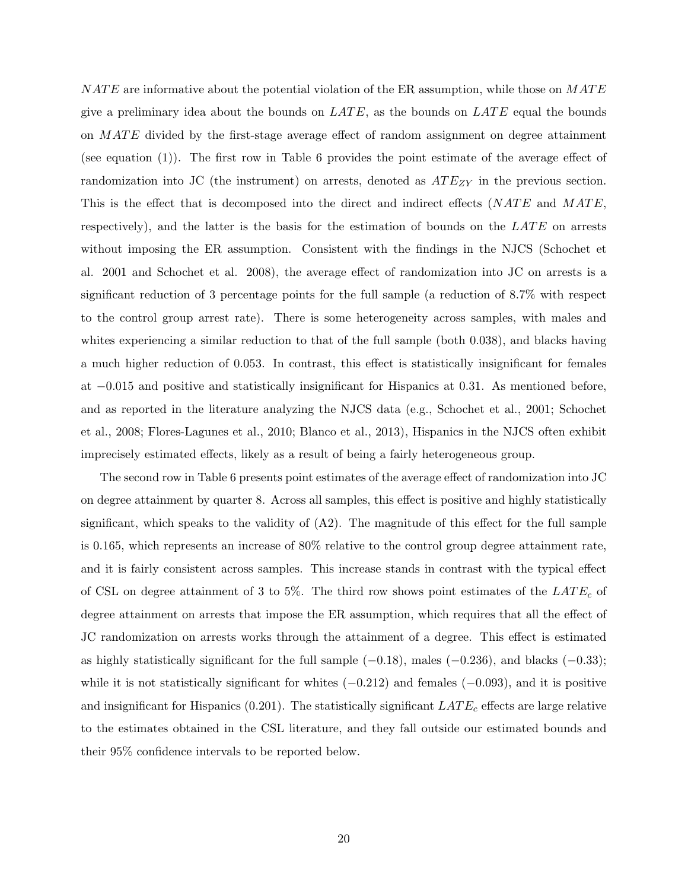$NATE$  are informative about the potential violation of the ER assumption, while those on  $MATE$ give a preliminary idea about the bounds on  $\angle ATE$ , as the bounds on  $\angle ATE$  equal the bounds on MATE divided by the first-stage average effect of random assignment on degree attainment (see equation (1)). The first row in Table 6 provides the point estimate of the average effect of randomization into JC (the instrument) on arrests, denoted as  $ATE_{ZY}$  in the previous section. This is the effect that is decomposed into the direct and indirect effects  $(NATE)$  and  $MATE$ , respectively), and the latter is the basis for the estimation of bounds on the  $LATE$  on arrests without imposing the ER assumption. Consistent with the findings in the NJCS (Schochet et al. 2001 and Schochet et al. 2008), the average effect of randomization into JC on arrests is a significant reduction of 3 percentage points for the full sample (a reduction of 8.7% with respect to the control group arrest rate). There is some heterogeneity across samples, with males and whites experiencing a similar reduction to that of the full sample (both 0.038), and blacks having a much higher reduction of 0.053. In contrast, this effect is statistically insignificant for females at −0.015 and positive and statistically insignificant for Hispanics at 0.31. As mentioned before, and as reported in the literature analyzing the NJCS data (e.g., Schochet et al., 2001; Schochet et al., 2008; Flores-Lagunes et al., 2010; Blanco et al., 2013), Hispanics in the NJCS often exhibit imprecisely estimated effects, likely as a result of being a fairly heterogeneous group.

The second row in Table 6 presents point estimates of the average effect of randomization into JC on degree attainment by quarter 8. Across all samples, this effect is positive and highly statistically significant, which speaks to the validity of (A2). The magnitude of this effect for the full sample is 0.165, which represents an increase of 80% relative to the control group degree attainment rate, and it is fairly consistent across samples. This increase stands in contrast with the typical effect of CSL on degree attainment of 3 to 5%. The third row shows point estimates of the  $LATE_c$  of degree attainment on arrests that impose the ER assumption, which requires that all the effect of JC randomization on arrests works through the attainment of a degree. This effect is estimated as highly statistically significant for the full sample  $(-0.18)$ , males  $(-0.236)$ , and blacks  $(-0.33)$ ; while it is not statistically significant for whites  $(-0.212)$  and females  $(-0.093)$ , and it is positive and insignificant for Hispanics (0.201). The statistically significant  $LATE_c$  effects are large relative to the estimates obtained in the CSL literature, and they fall outside our estimated bounds and their 95% confidence intervals to be reported below.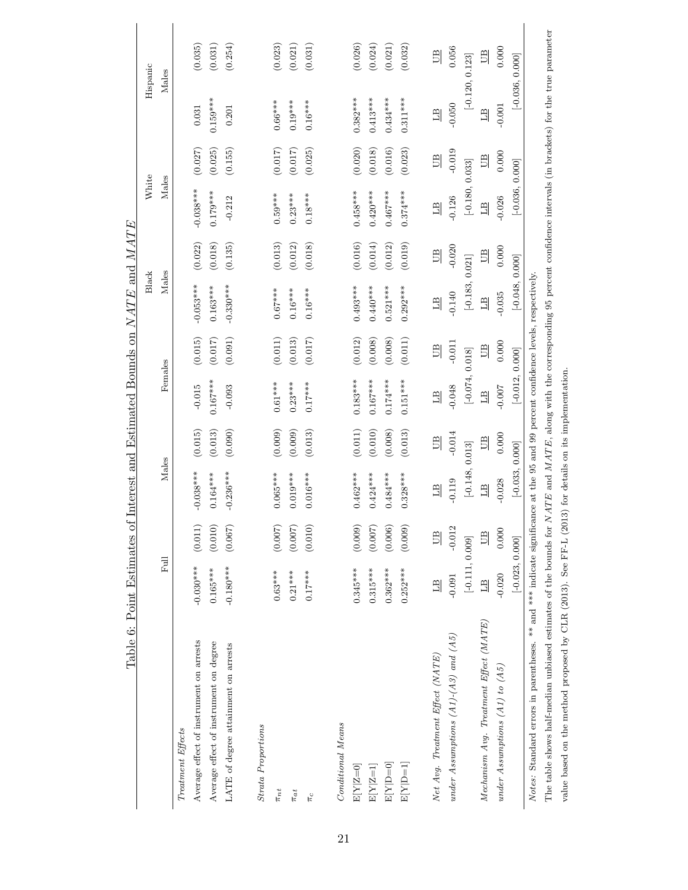| Table 6: Point Estimates of Interest and Estimated Bounds on $NATE$ and $MATE$                                                    |                   |              |                   |                       |                   |           |                   |              |                   |              |                |                   |
|-----------------------------------------------------------------------------------------------------------------------------------|-------------------|--------------|-------------------|-----------------------|-------------------|-----------|-------------------|--------------|-------------------|--------------|----------------|-------------------|
|                                                                                                                                   |                   |              |                   |                       |                   |           | <b>Black</b>      |              | White             |              |                | Hispanic          |
|                                                                                                                                   | Full              |              | Males             |                       | Females           |           | Males             |              | Males             |              |                | Males             |
| Treatment Effects                                                                                                                 |                   |              |                   |                       |                   |           |                   |              |                   |              |                |                   |
| Average effect of instrument on arrests                                                                                           | $-0.030***$       | (0.011)      | $-0.038***$       | (0.015)               | $-0.015$          | (0.015)   | $-0.053***$       | (0.022)      | $-0.038***$       | (0.027)      | $\!0.031$      | (0.035)           |
| Average effect of instrument on degree                                                                                            | $0.165***$        | (0.010)      | $0.164***$        | (0.013)               | $0.167***$        | (0.017)   | $0.163***$        | (0.018)      | $0.179***$        | (0.025)      | $0.159***$     | (0.031)           |
| LATE of degree attainment on arrests                                                                                              | $-0.180***$       | (0.067)      | $-0.236***$       | (0.090)               | $-0.093$          | (0.091)   | $-0.330***$       | (0.135)      | $-0.212$          | (0.155)      | 0.201          | (0.254)           |
|                                                                                                                                   |                   |              |                   |                       |                   |           |                   |              |                   |              |                |                   |
| Strata Proportions                                                                                                                |                   |              |                   |                       |                   |           |                   |              |                   |              |                |                   |
| $\pi_{nt}$                                                                                                                        | $0.63***$         | (0.007)      | $0.065***$        | (0.009)               | $0.61***$         | (0.011)   | $0.67***$         | (0.013)      | $0.59***$         | (0.017)      | $0.66***$      | (0.023)           |
| $\pi_{at}$                                                                                                                        | $0.21***$         | (0.007)      | $0.019***$        | (0.009)               | $0.23***$         | (0.013)   | $0.16***$         | (0.012)      | $0.23***$         | (0.017)      | $0.19***$      | (0.021)           |
| $\pi_c$                                                                                                                           | $0.17***$         | (0.010)      | $0.016***$        | (0.013)               | $0.17***$         | (0.017)   | $0.16***$         | (0.018)      | $0.18***$         | (0.025)      | $0.16***$      | (0.031)           |
|                                                                                                                                   |                   |              |                   |                       |                   |           |                   |              |                   |              |                |                   |
| Conditional Means                                                                                                                 |                   |              |                   |                       |                   |           |                   |              |                   |              |                |                   |
| $E[Y Z=0]$                                                                                                                        | $0.345***$        | (0.009)      | $0.462***$        | $\left( 0.011\right)$ | $0.183***$        | (0.012)   | $0.493***$        | (0.016)      | $0.458***$        | (0.020)      | $0.382***$     | (0.026)           |
| $E[Y Z=1]$                                                                                                                        | $0.315***$        | (0.007)      | $0.424***$        | (0.010)               | $0.167***$        | (0.008)   | $0.440***$        | (0.014)      | $0.420***$        | (0.018)      | $0.413***$     | (0.024)           |
| $E[Y] = 0$                                                                                                                        | $0.362***$        | (0.006)      | $0.484***$        | (0.008)               | $0.174***$        | (0.008)   | $0.521***$        | (0.012)      | $0.467***$        | (0.016)      | $0.434***$     | (0.021)           |
| $E[Y] = 1$                                                                                                                        | $0.252***$        | (0.009)      | $0.328***$        | (0.013)               | $0.151***$        | (0.011)   | $0.292***$        | (0.019)      | $0.374***$        | (0.023)      | $0.311***$     | (0.032)           |
|                                                                                                                                   |                   |              |                   |                       |                   |           |                   |              |                   |              |                |                   |
| Net Avg. Treatment Effect (NATE)                                                                                                  | $\Xi$             | $\mathbb{B}$ | $\overline{11}$   | 凹<br>                 | $\overline{11}$   | <b>DD</b> | $\overline{11}$   | $\mathbb{E}$ | 믜                 | $\mathbb{E}$ | $\overline{E}$ | $\mathbb{E}$      |
| under Assumptions $(A1)$ - $(A3)$ and $(A5)$                                                                                      | $-0.091$          | $-0.012$     | $-0.119$          | $-0.014$              | $-0.048$          | $-0.011$  | $-0.140$          | $-0.020$     | $-0.126$          | $-0.019$     | $-0.050$       | 0.056             |
|                                                                                                                                   | $[-0.111, 0.009]$ |              | $[-0.148, 0.013]$ |                       | $[-0.074, 0.018]$ |           | $[-0.183, 0.021]$ |              | $[-0.180, 0.033]$ |              |                | $[-0.120, 0.123]$ |
| $Mechanism$ Avg. Treatment $Effect$ $(MATE)$                                                                                      | $\overline{AB}$   | $\mathbb{B}$ | $\mathbb{E}$      | UB                    | $\mathbb{E}$      | UB        | $\Box$            | UB           | $\frac{1}{2}$     | UB           | $\mathbb{E}$   | UB                |
| under Assumptions $(A1)$ to $(A5)$                                                                                                | $-0.020$          | 0.000        | $-0.028$          | 0.000                 | $-0.007$          | 0.000     | $-0.035$          | 0.000        | $-0.026$          | 0.000        | $-0.001$       | 0.000             |
|                                                                                                                                   | $[-0.023, 0.000]$ |              | $[-0.033, 0.000]$ |                       | $[-0.012, 0.000]$ |           | $[-0.048, 0.000]$ |              | $[-0.036, 0.000]$ |              |                | $[-0.036, 0.000]$ |
| Notes: Standard errors in parentheses. ** and *** indicate significance at the 95 and 99 percent confidence levels, respectively. |                   |              |                   |                       |                   |           |                   |              |                   |              |                |                   |

The table shows half-median unbiased estimates of the bounds for  $NATE$  and  $MATE$ , along with the corresponding 95 percent confidence intervals (in brackets) for the true parameter The table shows half-median unbiased estimates of the bounds for  $NATE$  and  $MATE$ , along with the corresponding 95 percent confidence intervals (in brackets) for the true parameter value based on the method proposed by CLR (2013). See FF-L (2013) for details on its implementation. value based on the method proposed by CLR (2013). See FF-L (2013) for details on its implementation.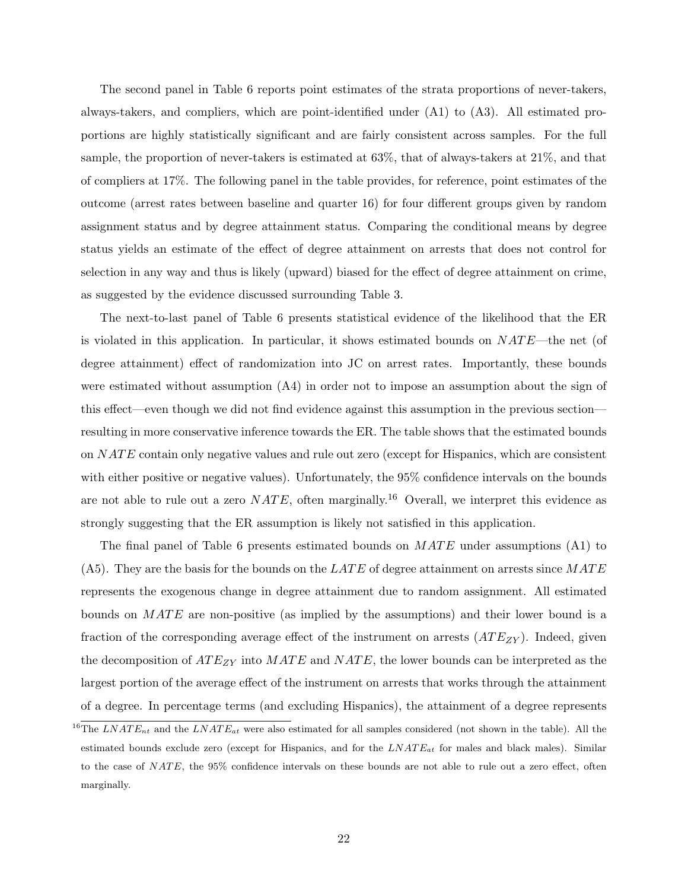The second panel in Table 6 reports point estimates of the strata proportions of never-takers, always-takers, and compliers, which are point-identified under (A1) to (A3). All estimated proportions are highly statistically significant and are fairly consistent across samples. For the full sample, the proportion of never-takers is estimated at 63%, that of always-takers at 21%, and that of compliers at 17%. The following panel in the table provides, for reference, point estimates of the outcome (arrest rates between baseline and quarter 16) for four different groups given by random assignment status and by degree attainment status. Comparing the conditional means by degree status yields an estimate of the effect of degree attainment on arrests that does not control for selection in any way and thus is likely (upward) biased for the effect of degree attainment on crime, as suggested by the evidence discussed surrounding Table 3.

The next-to-last panel of Table 6 presents statistical evidence of the likelihood that the ER is violated in this application. In particular, it shows estimated bounds on  $NATE$ —the net (of degree attainment) effect of randomization into JC on arrest rates. Importantly, these bounds were estimated without assumption (A4) in order not to impose an assumption about the sign of this effect—even though we did not find evidence against this assumption in the previous section resulting in more conservative inference towards the ER. The table shows that the estimated bounds on  $NATE$  contain only negative values and rule out zero (except for Hispanics, which are consistent with either positive or negative values). Unfortunately, the 95% confidence intervals on the bounds are not able to rule out a zero  $NATE$ , often marginally.<sup>16</sup> Overall, we interpret this evidence as strongly suggesting that the ER assumption is likely not satisfied in this application.

The final panel of Table 6 presents estimated bounds on  $MATE$  under assumptions (A1) to  $(A5)$ . They are the basis for the bounds on the LATE of degree attainment on arrests since  $MATE$ represents the exogenous change in degree attainment due to random assignment. All estimated bounds on  $MATE$  are non-positive (as implied by the assumptions) and their lower bound is a fraction of the corresponding average effect of the instrument on arrests  $(ATE_{ZY})$ . Indeed, given the decomposition of  $ATE_{ZY}$  into  $MATE$  and  $NATE$ , the lower bounds can be interpreted as the largest portion of the average effect of the instrument on arrests that works through the attainment of a degree. In percentage terms (and excluding Hispanics), the attainment of a degree represents

<sup>&</sup>lt;sup>16</sup>The LNAT E<sub>nt</sub> and the LNAT E<sub>at</sub> were also estimated for all samples considered (not shown in the table). All the estimated bounds exclude zero (except for Hispanics, and for the  $LNATE_{at}$  for males and black males). Similar to the case of  $NATE$ , the  $95\%$  confidence intervals on these bounds are not able to rule out a zero effect, often marginally.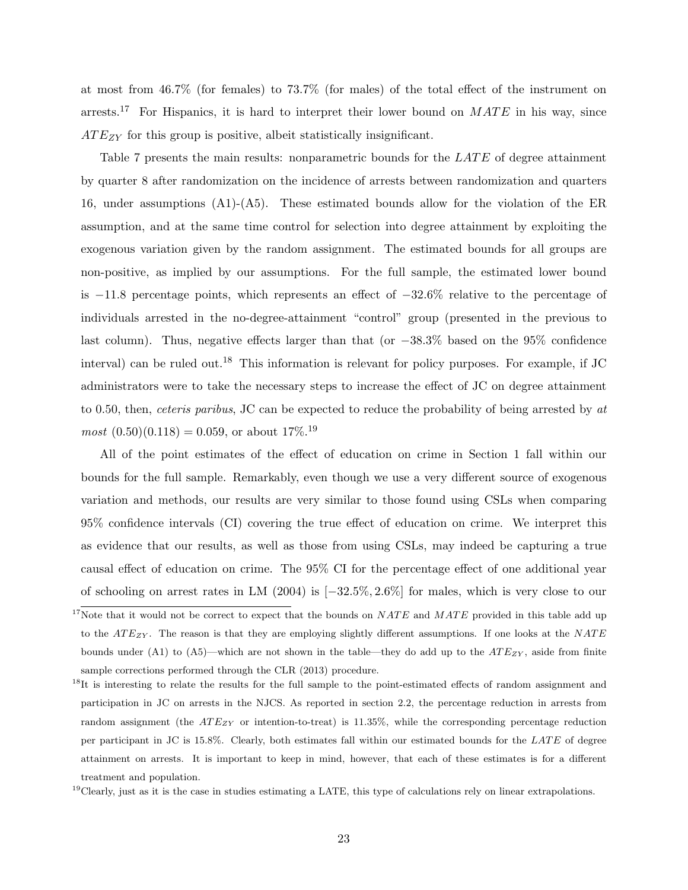at most from 46.7% (for females) to 73.7% (for males) of the total effect of the instrument on arrests.<sup>17</sup> For Hispanics, it is hard to interpret their lower bound on  $MATE$  in his way, since  $ATE_{ZY}$  for this group is positive, albeit statistically insignificant.

Table 7 presents the main results: nonparametric bounds for the  $LATE$  of degree attainment by quarter 8 after randomization on the incidence of arrests between randomization and quarters 16, under assumptions (A1)-(A5). These estimated bounds allow for the violation of the ER assumption, and at the same time control for selection into degree attainment by exploiting the exogenous variation given by the random assignment. The estimated bounds for all groups are non-positive, as implied by our assumptions. For the full sample, the estimated lower bound is −11.8 percentage points, which represents an effect of −32.6% relative to the percentage of individuals arrested in the no-degree-attainment "control" group (presented in the previous to last column). Thus, negative effects larger than that (or −38.3% based on the 95% confidence interval) can be ruled out.<sup>18</sup> This information is relevant for policy purposes. For example, if  $JC$ administrators were to take the necessary steps to increase the effect of JC on degree attainment to 0.50, then, ceteris paribus, JC can be expected to reduce the probability of being arrested by at  $most (0.50)(0.118) = 0.059$ , or about 17\%.<sup>19</sup>

All of the point estimates of the effect of education on crime in Section 1 fall within our bounds for the full sample. Remarkably, even though we use a very different source of exogenous variation and methods, our results are very similar to those found using CSLs when comparing 95% confidence intervals (CI) covering the true effect of education on crime. We interpret this as evidence that our results, as well as those from using CSLs, may indeed be capturing a true causal effect of education on crime. The 95% CI for the percentage effect of one additional year of schooling on arrest rates in LM (2004) is [−32.5%, 2.6%] for males, which is very close to our

<sup>&</sup>lt;sup>17</sup>Note that it would not be correct to expect that the bounds on  $NATE$  and  $MATE$  provided in this table add up to the  $ATE_{ZY}$ . The reason is that they are employing slightly different assumptions. If one looks at the NATE bounds under (A1) to (A5)—which are not shown in the table—they do add up to the  $ATE_{ZY}$ , aside from finite sample corrections performed through the CLR (2013) procedure.

<sup>&</sup>lt;sup>18</sup>It is interesting to relate the results for the full sample to the point-estimated effects of random assignment and participation in JC on arrests in the NJCS. As reported in section 2.2, the percentage reduction in arrests from random assignment (the  $ATE_{ZY}$  or intention-to-treat) is 11.35%, while the corresponding percentage reduction per participant in JC is 15.8%. Clearly, both estimates fall within our estimated bounds for the LATE of degree attainment on arrests. It is important to keep in mind, however, that each of these estimates is for a different treatment and population.

 $19$ Clearly, just as it is the case in studies estimating a LATE, this type of calculations rely on linear extrapolations.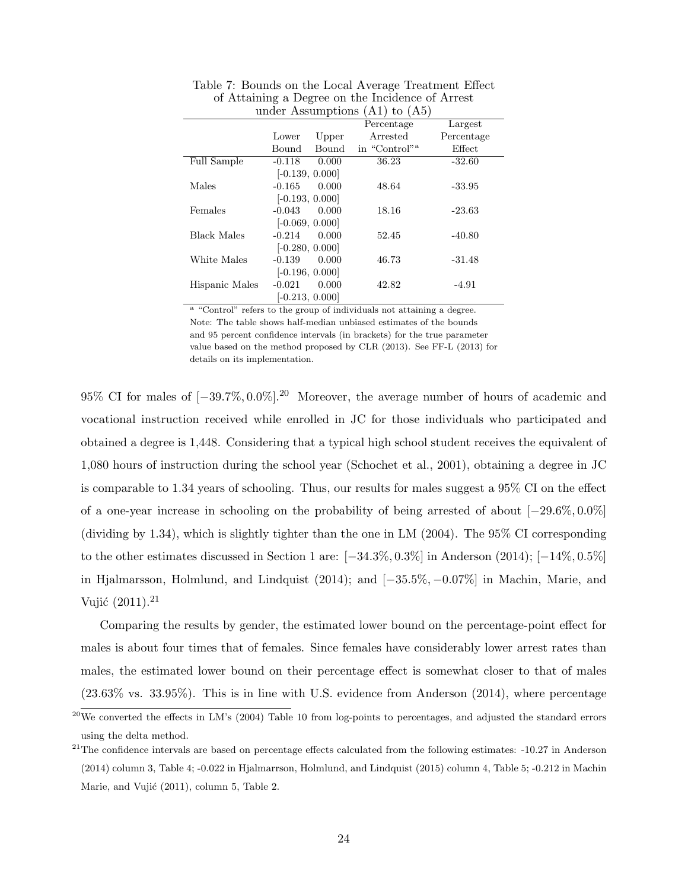|                    | under propunibuono |       | $(11)$ v $(10)$           |            |
|--------------------|--------------------|-------|---------------------------|------------|
|                    |                    |       | Percentage                | Largest    |
|                    | Lower              | Upper | Arrested                  | Percentage |
|                    | Bound              | Bound | in "Control" <sup>a</sup> | Effect     |
| <b>Full Sample</b> | $-0.118$           | 0.000 | 36.23                     | $-32.60$   |
|                    | $[-0.139, 0.000]$  |       |                           |            |
| Males              | $-0.165$           | 0.000 | 48.64                     | $-33.95$   |
|                    | $[-0.193, 0.000]$  |       |                           |            |
| Females            | $-0.043$           | 0.000 | 18.16                     | $-23.63$   |
|                    | $[-0.069, 0.000]$  |       |                           |            |
| <b>Black Males</b> | $-0.214$           | 0.000 | 52.45                     | $-40.80$   |
|                    | $[-0.280, 0.000]$  |       |                           |            |
| White Males        | $-0.139$           | 0.000 | 46.73                     | $-31.48$   |
|                    | $[-0.196, 0.000]$  |       |                           |            |
| Hispanic Males     | $-0.021$           | 0.000 | 42.82                     | $-4.91$    |
|                    | $[-0.213, 0.000]$  |       |                           |            |

Table 7: Bounds on the Local Average Treatment Effect of Attaining a Degree on the Incidence of Arrest under Assumptions (A1) to (A5)

<sup>a</sup> "Control" refers to the group of individuals not attaining a degree. Note: The table shows half-median unbiased estimates of the bounds and 95 percent confidence intervals (in brackets) for the true parameter value based on the method proposed by CLR (2013). See FF-L (2013) for details on its implementation.

95% CI for males of  $[-39.7\%, 0.0\%]$ <sup>20</sup> Moreover, the average number of hours of academic and vocational instruction received while enrolled in JC for those individuals who participated and obtained a degree is 1,448. Considering that a typical high school student receives the equivalent of 1,080 hours of instruction during the school year (Schochet et al., 2001), obtaining a degree in JC is comparable to 1.34 years of schooling. Thus, our results for males suggest a 95% CI on the effect of a one-year increase in schooling on the probability of being arrested of about [−29.6%, 0.0%] (dividing by 1.34), which is slightly tighter than the one in LM (2004). The 95% CI corresponding to the other estimates discussed in Section 1 are: [−34.3%, 0.3%] in Anderson (2014); [−14%, 0.5%] in Hjalmarsson, Holmlund, and Lindquist (2014); and [−35.5%, −0.07%] in Machin, Marie, and Vujić  $(2011).^{21}$ 

Comparing the results by gender, the estimated lower bound on the percentage-point effect for males is about four times that of females. Since females have considerably lower arrest rates than males, the estimated lower bound on their percentage effect is somewhat closer to that of males  $(23.63\% \text{ vs. } 33.95\%).$  This is in line with U.S. evidence from Anderson  $(2014)$ , where percentage

 $^{20}$ We converted the effects in LM's (2004) Table 10 from log-points to percentages, and adjusted the standard errors using the delta method.

 $21$ The confidence intervals are based on percentage effects calculated from the following estimates:  $-10.27$  in Anderson (2014) column 3, Table 4; -0.022 in Hjalmarrson, Holmlund, and Lindquist (2015) column 4, Table 5; -0.212 in Machin Marie, and Vujić (2011), column 5, Table 2.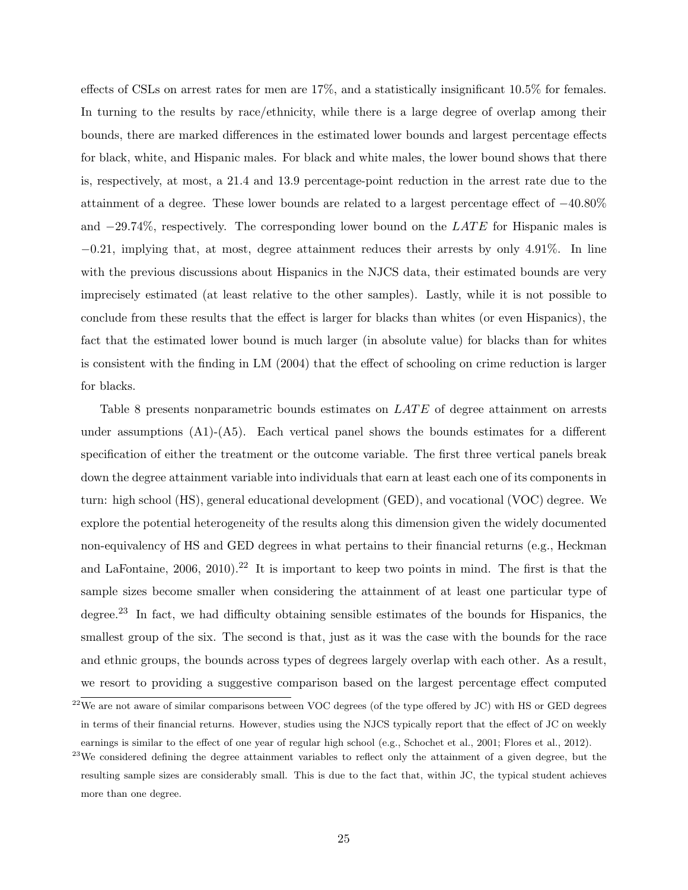effects of CSLs on arrest rates for men are 17%, and a statistically insignificant 10.5% for females. In turning to the results by race/ethnicity, while there is a large degree of overlap among their bounds, there are marked differences in the estimated lower bounds and largest percentage effects for black, white, and Hispanic males. For black and white males, the lower bound shows that there is, respectively, at most, a 21.4 and 13.9 percentage-point reduction in the arrest rate due to the attainment of a degree. These lower bounds are related to a largest percentage effect of −40.80% and  $-29.74\%$ , respectively. The corresponding lower bound on the LATE for Hispanic males is −0.21, implying that, at most, degree attainment reduces their arrests by only 4.91%. In line with the previous discussions about Hispanics in the NJCS data, their estimated bounds are very imprecisely estimated (at least relative to the other samples). Lastly, while it is not possible to conclude from these results that the effect is larger for blacks than whites (or even Hispanics), the fact that the estimated lower bound is much larger (in absolute value) for blacks than for whites is consistent with the finding in LM (2004) that the effect of schooling on crime reduction is larger for blacks.

Table 8 presents nonparametric bounds estimates on LATE of degree attainment on arrests under assumptions  $(A1)$ - $(A5)$ . Each vertical panel shows the bounds estimates for a different specification of either the treatment or the outcome variable. The first three vertical panels break down the degree attainment variable into individuals that earn at least each one of its components in turn: high school (HS), general educational development (GED), and vocational (VOC) degree. We explore the potential heterogeneity of the results along this dimension given the widely documented non-equivalency of HS and GED degrees in what pertains to their financial returns (e.g., Heckman and LaFontaine,  $2006$ ,  $2010$ ).<sup>22</sup> It is important to keep two points in mind. The first is that the sample sizes become smaller when considering the attainment of at least one particular type of degree.<sup>23</sup> In fact, we had difficulty obtaining sensible estimates of the bounds for Hispanics, the smallest group of the six. The second is that, just as it was the case with the bounds for the race and ethnic groups, the bounds across types of degrees largely overlap with each other. As a result, we resort to providing a suggestive comparison based on the largest percentage effect computed

 $^{22}$ We are not aware of similar comparisons between VOC degrees (of the type offered by JC) with HS or GED degrees in terms of their financial returns. However, studies using the NJCS typically report that the effect of JC on weekly earnings is similar to the effect of one year of regular high school (e.g., Schochet et al., 2001; Flores et al., 2012).

 $^{23}$ We considered defining the degree attainment variables to reflect only the attainment of a given degree, but the resulting sample sizes are considerably small. This is due to the fact that, within JC, the typical student achieves more than one degree.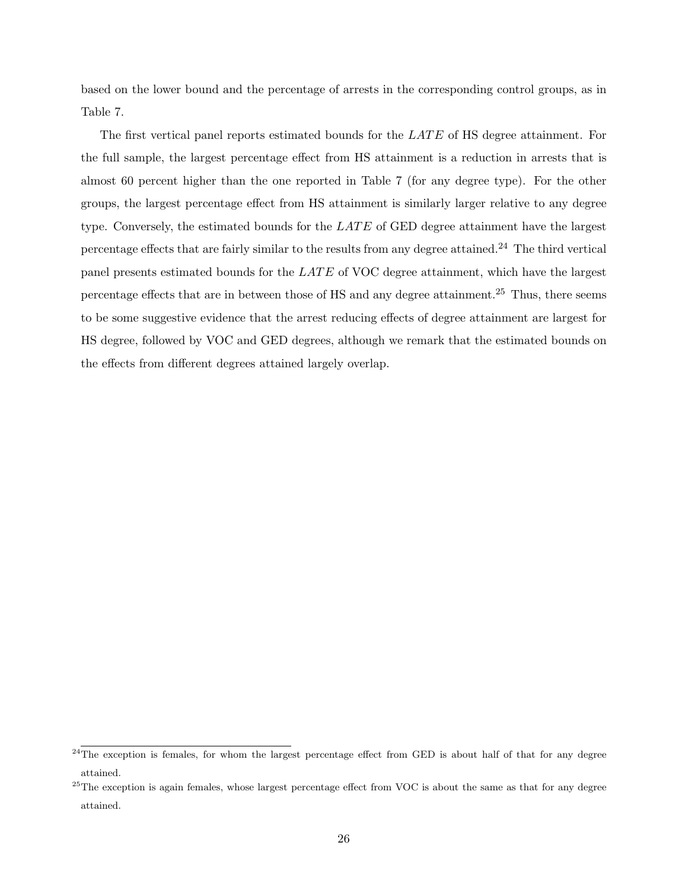based on the lower bound and the percentage of arrests in the corresponding control groups, as in Table 7.

The first vertical panel reports estimated bounds for the LATE of HS degree attainment. For the full sample, the largest percentage effect from HS attainment is a reduction in arrests that is almost 60 percent higher than the one reported in Table 7 (for any degree type). For the other groups, the largest percentage effect from HS attainment is similarly larger relative to any degree type. Conversely, the estimated bounds for the  $LATE$  of GED degree attainment have the largest percentage effects that are fairly similar to the results from any degree attained.<sup>24</sup> The third vertical panel presents estimated bounds for the  $LATE$  of VOC degree attainment, which have the largest percentage effects that are in between those of HS and any degree attainment.<sup>25</sup> Thus, there seems to be some suggestive evidence that the arrest reducing effects of degree attainment are largest for HS degree, followed by VOC and GED degrees, although we remark that the estimated bounds on the effects from different degrees attained largely overlap.

 $^{24}$ The exception is females, for whom the largest percentage effect from GED is about half of that for any degree attained.

 $^{25}$ The exception is again females, whose largest percentage effect from VOC is about the same as that for any degree attained.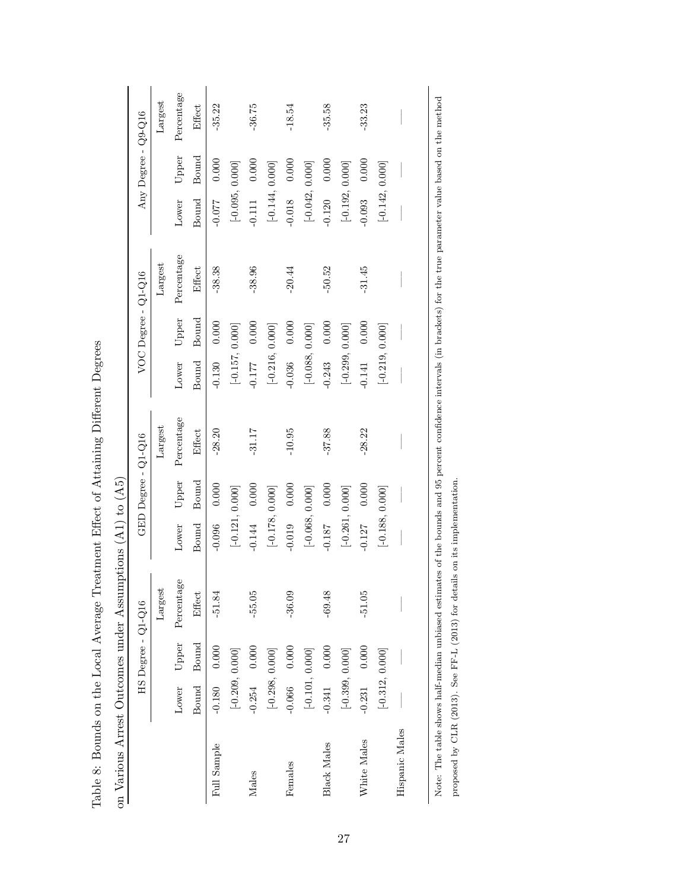|                    |                   | $HS$ Degree - $Q1-Q16$ |            |                   | GED Degree - Q1-Q16 |            |                   | $VOC$ Degree - $Q1-Q16$ |            |                   | Any Degree - Q9-Q16 |                          |
|--------------------|-------------------|------------------------|------------|-------------------|---------------------|------------|-------------------|-------------------------|------------|-------------------|---------------------|--------------------------|
|                    |                   |                        | Largest    |                   |                     | Largest    |                   |                         | Largest    |                   |                     | $\operatorname{Largest}$ |
|                    | Lower             | Upper                  | Percentage | Lower             | Upper               | Percentage | Lower             | Upper                   | Percentage | Lower             | Upper               | Percentage               |
|                    | Bound             | Bound                  | Effect     | Bound             | Bound               | Effect     | Bound             | Bound                   | Effect     | Bound             | Bound               | Effect                   |
| Full Sample        | $-0.180$ 0.000    |                        | $-51.84$   | $-0.096$          | 0.000               | $-28.20$   | $-0.130$          | 0.000                   | $-38.38$   | $-0.077$          | 0.000               | $-35.22$                 |
|                    | $[-0.209, 0.000]$ |                        |            | $[-0.121, 0.000]$ |                     |            |                   | $[-0.157, 0.000]$       |            | $[-0.095, 0.000]$ |                     |                          |
| Males              | $-0.254$ 0.000    |                        | $-55.05$   | $-0.144$          | 0.000               | $-31.17$   | $-0.177$          | 0.000                   | $-38.96$   | $-0.111$          | 0.000               | $-36.75$                 |
|                    | $[-0.298, 0.000]$ |                        |            | $[-0.178, 0.000]$ |                     |            |                   | $[-0.216, 0.000]$       |            | $[-0.144, 0.000]$ |                     |                          |
| Females            | $-0.066$ 0.000    |                        | $-36.09$   | $-0.019$          | 0.000               | $-10.95$   | $-0.036$          | 0.000                   | $-20.44$   | $-0.018$          | 0.000               | $-18.54$                 |
|                    | $[-0.101, 0.000]$ |                        |            | $[-0.068, 0.000]$ |                     |            | $[-0.088, 0.000]$ |                         |            | $[-0.042, 0.000]$ |                     |                          |
| <b>Black Males</b> | $-0.341$ 0.000    |                        | $-69.48$   | $-0.187$          | 0.000               | $-37.88$   | $-0.243$          | 0.000                   | $-50.52$   | $-0.120$          | 0.000               | $-35.58$                 |
|                    | $[-0.399, 0.000]$ |                        |            | $[-0.261, 0.000]$ |                     |            | $[-0.299, 0.000]$ |                         |            | $[-0.192, 0.000]$ |                     |                          |
| White Males        | $-0.231$ 0.000    |                        | $-51.05$   | $-0.127$          | 0.000               | $-28.22$   | 0.141             | 0.000                   | $-31.45$   | 0.093             | 0.000               | $-33.23$                 |
|                    | $[-0.312, 0.000]$ |                        |            | $[-0.188, 0.000]$ |                     |            |                   | $[-0.219, 0.000]$       |            | $[-0.142, 0.000]$ |                     |                          |
| Hispanic Males     |                   |                        |            |                   |                     |            |                   |                         |            |                   |                     |                          |

Note: The table shows half-median unbiased estimates of the bounds and 95 percent confidence intervals (in brackets) for the true parameter value based on the method

Note: The table shows half-median unbiased estimates of the bounds and 95 percent confidence intervals (in brackets) for the true parameter value based on the method

proposed by CLR (2013). See FF-L (2013) for details on its implementation.

proposed by CLR (2013). See FF-L (2013) for details on its implementation.

Table 8: Bounds on the Local Average Treatment Effect of Attaining Different Degrees Table 8: Bounds on the Local Average Treatment Effect of Attaining Different Degrees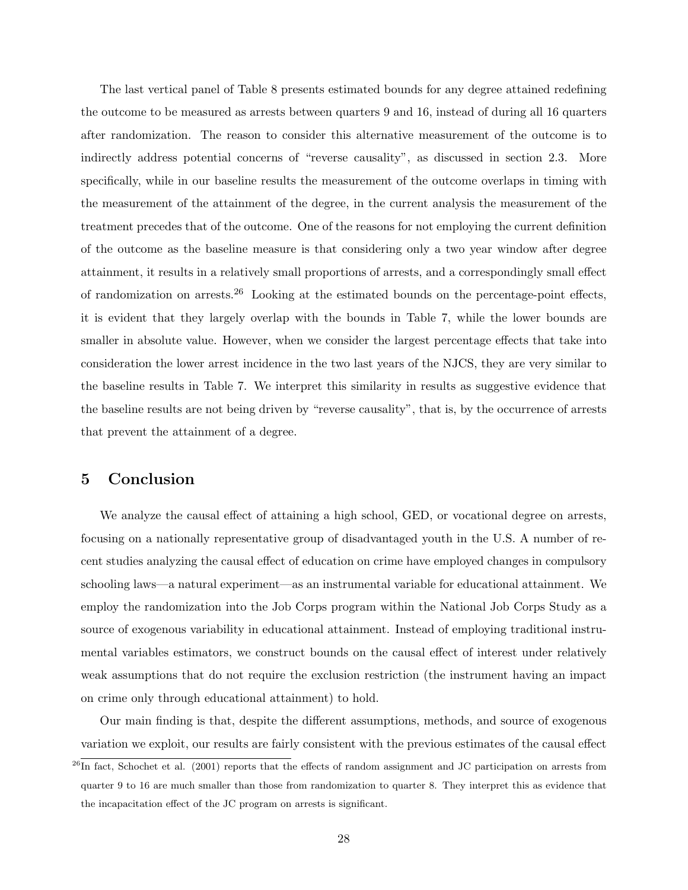The last vertical panel of Table 8 presents estimated bounds for any degree attained redefining the outcome to be measured as arrests between quarters 9 and 16, instead of during all 16 quarters after randomization. The reason to consider this alternative measurement of the outcome is to indirectly address potential concerns of "reverse causality", as discussed in section 2.3. More specifically, while in our baseline results the measurement of the outcome overlaps in timing with the measurement of the attainment of the degree, in the current analysis the measurement of the treatment precedes that of the outcome. One of the reasons for not employing the current definition of the outcome as the baseline measure is that considering only a two year window after degree attainment, it results in a relatively small proportions of arrests, and a correspondingly small effect of randomization on arrests.<sup>26</sup> Looking at the estimated bounds on the percentage-point effects, it is evident that they largely overlap with the bounds in Table 7, while the lower bounds are smaller in absolute value. However, when we consider the largest percentage effects that take into consideration the lower arrest incidence in the two last years of the NJCS, they are very similar to the baseline results in Table 7. We interpret this similarity in results as suggestive evidence that the baseline results are not being driven by "reverse causality", that is, by the occurrence of arrests that prevent the attainment of a degree.

#### 5 Conclusion

We analyze the causal effect of attaining a high school, GED, or vocational degree on arrests, focusing on a nationally representative group of disadvantaged youth in the U.S. A number of recent studies analyzing the causal effect of education on crime have employed changes in compulsory schooling laws—a natural experiment—as an instrumental variable for educational attainment. We employ the randomization into the Job Corps program within the National Job Corps Study as a source of exogenous variability in educational attainment. Instead of employing traditional instrumental variables estimators, we construct bounds on the causal effect of interest under relatively weak assumptions that do not require the exclusion restriction (the instrument having an impact on crime only through educational attainment) to hold.

Our main finding is that, despite the different assumptions, methods, and source of exogenous variation we exploit, our results are fairly consistent with the previous estimates of the causal effect

 $^{26}$ In fact, Schochet et al. (2001) reports that the effects of random assignment and JC participation on arrests from quarter 9 to 16 are much smaller than those from randomization to quarter 8. They interpret this as evidence that the incapacitation effect of the JC program on arrests is significant.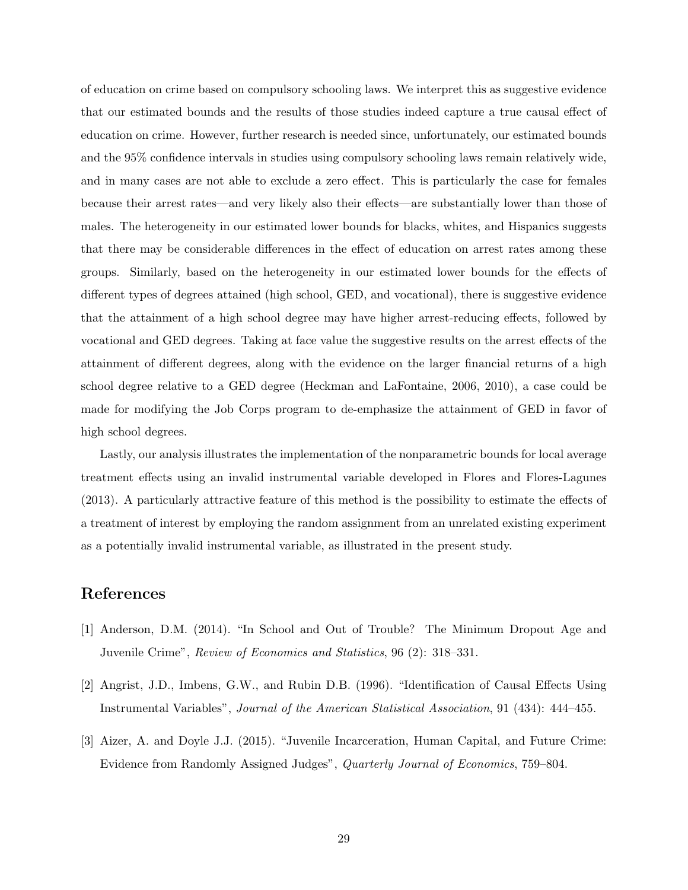of education on crime based on compulsory schooling laws. We interpret this as suggestive evidence that our estimated bounds and the results of those studies indeed capture a true causal effect of education on crime. However, further research is needed since, unfortunately, our estimated bounds and the 95% confidence intervals in studies using compulsory schooling laws remain relatively wide, and in many cases are not able to exclude a zero effect. This is particularly the case for females because their arrest rates—and very likely also their effects—are substantially lower than those of males. The heterogeneity in our estimated lower bounds for blacks, whites, and Hispanics suggests that there may be considerable differences in the effect of education on arrest rates among these groups. Similarly, based on the heterogeneity in our estimated lower bounds for the effects of different types of degrees attained (high school, GED, and vocational), there is suggestive evidence that the attainment of a high school degree may have higher arrest-reducing effects, followed by vocational and GED degrees. Taking at face value the suggestive results on the arrest effects of the attainment of different degrees, along with the evidence on the larger financial returns of a high school degree relative to a GED degree (Heckman and LaFontaine, 2006, 2010), a case could be made for modifying the Job Corps program to de-emphasize the attainment of GED in favor of high school degrees.

Lastly, our analysis illustrates the implementation of the nonparametric bounds for local average treatment effects using an invalid instrumental variable developed in Flores and Flores-Lagunes (2013). A particularly attractive feature of this method is the possibility to estimate the effects of a treatment of interest by employing the random assignment from an unrelated existing experiment as a potentially invalid instrumental variable, as illustrated in the present study.

#### References

- [1] Anderson, D.M. (2014). "In School and Out of Trouble? The Minimum Dropout Age and Juvenile Crime", Review of Economics and Statistics, 96 (2): 318–331.
- [2] Angrist, J.D., Imbens, G.W., and Rubin D.B. (1996). "Identification of Causal Effects Using Instrumental Variables", Journal of the American Statistical Association, 91 (434): 444–455.
- [3] Aizer, A. and Doyle J.J. (2015). "Juvenile Incarceration, Human Capital, and Future Crime: Evidence from Randomly Assigned Judges", Quarterly Journal of Economics, 759–804.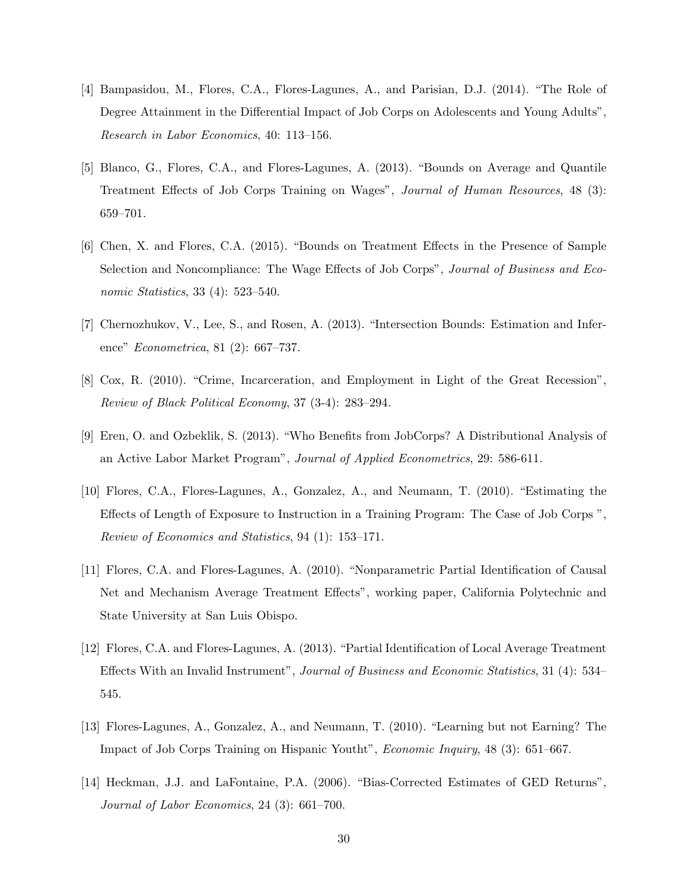- [4] Bampasidou, M., Flores, C.A., Flores-Lagunes, A., and Parisian, D.J. (2014). "The Role of Degree Attainment in the Differential Impact of Job Corps on Adolescents and Young Adults", Research in Labor Economics, 40: 113–156.
- [5] Blanco, G., Flores, C.A., and Flores-Lagunes, A. (2013). "Bounds on Average and Quantile Treatment Effects of Job Corps Training on Wages", Journal of Human Resources, 48 (3): 659–701.
- [6] Chen, X. and Flores, C.A. (2015). "Bounds on Treatment Effects in the Presence of Sample Selection and Noncompliance: The Wage Effects of Job Corps", Journal of Business and Economic Statistics, 33 (4): 523–540.
- [7] Chernozhukov, V., Lee, S., and Rosen, A. (2013). "Intersection Bounds: Estimation and Inference" Econometrica, 81 (2): 667–737.
- [8] Cox, R. (2010). "Crime, Incarceration, and Employment in Light of the Great Recession", Review of Black Political Economy, 37 (3-4): 283–294.
- [9] Eren, O. and Ozbeklik, S. (2013). "Who Benefits from JobCorps? A Distributional Analysis of an Active Labor Market Program", Journal of Applied Econometrics, 29: 586-611.
- [10] Flores, C.A., Flores-Lagunes, A., Gonzalez, A., and Neumann, T. (2010). "Estimating the Effects of Length of Exposure to Instruction in a Training Program: The Case of Job Corps ", Review of Economics and Statistics, 94 (1): 153–171.
- [11] Flores, C.A. and Flores-Lagunes, A. (2010). "Nonparametric Partial Identification of Causal Net and Mechanism Average Treatment Effects", working paper, California Polytechnic and State University at San Luis Obispo.
- [12] Flores, C.A. and Flores-Lagunes, A. (2013). "Partial Identification of Local Average Treatment Effects With an Invalid Instrument", Journal of Business and Economic Statistics, 31 (4): 534– 545.
- [13] Flores-Lagunes, A., Gonzalez, A., and Neumann, T. (2010). "Learning but not Earning? The Impact of Job Corps Training on Hispanic Youtht", Economic Inquiry, 48 (3): 651–667.
- [14] Heckman, J.J. and LaFontaine, P.A. (2006). "Bias-Corrected Estimates of GED Returns", Journal of Labor Economics, 24 (3): 661–700.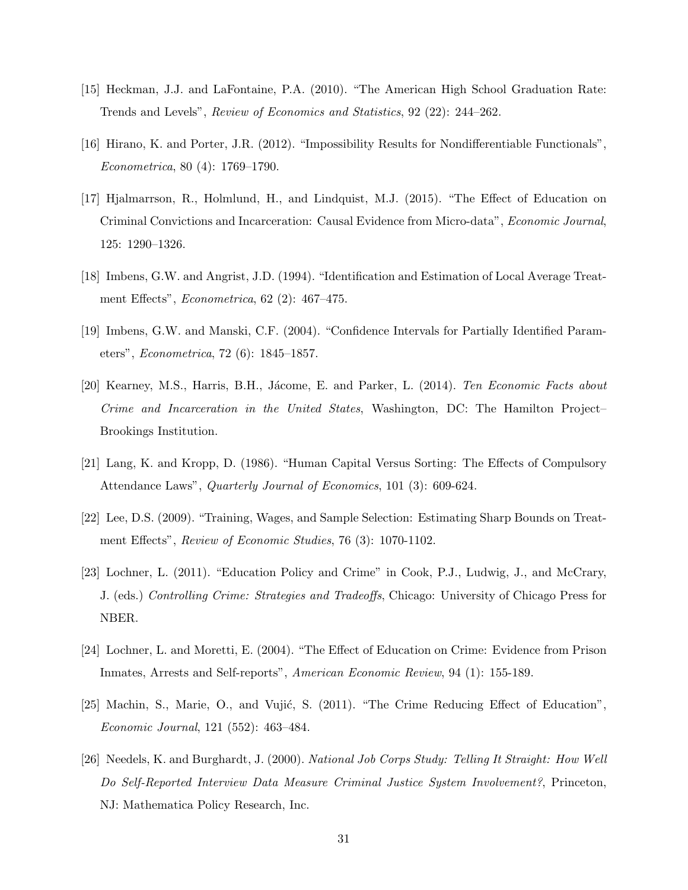- [15] Heckman, J.J. and LaFontaine, P.A. (2010). "The American High School Graduation Rate: Trends and Levels", Review of Economics and Statistics, 92 (22): 244–262.
- [16] Hirano, K. and Porter, J.R. (2012). "Impossibility Results for Nondifferentiable Functionals", Econometrica, 80 (4): 1769–1790.
- [17] Hjalmarrson, R., Holmlund, H., and Lindquist, M.J. (2015). "The Effect of Education on Criminal Convictions and Incarceration: Causal Evidence from Micro-data", Economic Journal, 125: 1290–1326.
- [18] Imbens, G.W. and Angrist, J.D. (1994). "Identification and Estimation of Local Average Treatment Effects", Econometrica, 62 (2): 467–475.
- [19] Imbens, G.W. and Manski, C.F. (2004). "Confidence Intervals for Partially Identified Parameters", Econometrica, 72 (6): 1845–1857.
- [20] Kearney, M.S., Harris, B.H., Jácome, E. and Parker, L. (2014). Ten Economic Facts about Crime and Incarceration in the United States, Washington, DC: The Hamilton Project– Brookings Institution.
- [21] Lang, K. and Kropp, D. (1986). "Human Capital Versus Sorting: The Effects of Compulsory Attendance Laws", Quarterly Journal of Economics, 101 (3): 609-624.
- [22] Lee, D.S. (2009). "Training, Wages, and Sample Selection: Estimating Sharp Bounds on Treatment Effects", Review of Economic Studies, 76 (3): 1070-1102.
- [23] Lochner, L. (2011). "Education Policy and Crime" in Cook, P.J., Ludwig, J., and McCrary, J. (eds.) Controlling Crime: Strategies and Tradeoffs, Chicago: University of Chicago Press for NBER.
- [24] Lochner, L. and Moretti, E. (2004). "The Effect of Education on Crime: Evidence from Prison Inmates, Arrests and Self-reports", American Economic Review, 94 (1): 155-189.
- [25] Machin, S., Marie, O., and Vujić, S. (2011). "The Crime Reducing Effect of Education", Economic Journal, 121 (552): 463–484.
- [26] Needels, K. and Burghardt, J. (2000). National Job Corps Study: Telling It Straight: How Well Do Self-Reported Interview Data Measure Criminal Justice System Involvement?, Princeton, NJ: Mathematica Policy Research, Inc.